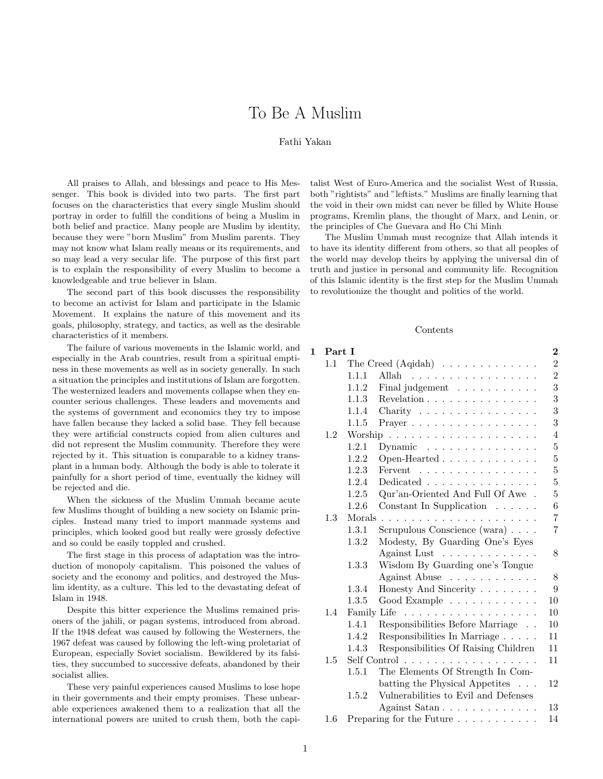# To Be A Muslim

## Fathi Yakan

All praises to Allah, and blessings and peace to His Messenger. This book is divided into two parts. The first part focuses on the characteristics that every single Muslim should portray in order to fulfill the conditions of being a Muslim in both belief and practice. Many people are Muslim by identity, because they were "born Muslim" from Muslim parents. They may not know what Islam really means or its requirements, and so may lead a very secular life. The purpose of this first part is to explain the responsibility of every Muslim to become a knowledgeable and true believer in Islam.

The second part of this book discusses the responsibility to become an activist for Islam and participate in the Islamic Movement. It explains the nature of this movement and its goals, philosophy, strategy, and tactics, as well as the desirable characteristics of it members.

The failure of various movements in the Islamic world, and especially in the Arab countries, result from a spiritual emptiness in these movements as well as in society generally. In such a situation the principles and institutions of Islam are forgotten. The westernized leaders and movements collapse when they encounter serious challenges. These leaders and movements and the systems of government and economics they try to impose have fallen because they lacked a solid base. They fell because they were artificial constructs copied from alien cultures and did not represent the Muslim community. Therefore they were rejected by it. This situation is comparable to a kidney transplant in a human body. Although the body is able to tolerate it painfully for a short period of time, eventually the kidney will be rejected and die.

When the sickness of the Muslim Ummah became acute few Muslims thought of building a new society on Islamic principles. Instead many tried to import manmade systems and principles, which looked good but really were grossly defective and so could be easily toppled and crushed.

The first stage in this process of adaptation was the introduction of monopoly capitalism. This poisoned the values of society and the economy and politics, and destroyed the Muslim identity, as a culture. This led to the devastating defeat of Islam in 1948.

Despite this bitter experience the Muslims remained prisoners of the jahili, or pagan systems, introduced from abroad. If the 1948 defeat was caused by following the Westerners, the 1967 defeat was caused by following the left-wing proletariat of European, especially Soviet socialism. Bewildered by its falsities, they succumbed to successive defeats, abandoned by their socialist allies.

These very painful experiences caused Muslims to lose hope in their governments and their empty promises. These unbearable experiences awakened them to a realization that all the international powers are united to crush them, both the capitalist West of Euro-America and the socialist West of Russia, both "rightists" and "leftists." Muslims are finally learning that the void in their own midst can never be filled by White House programs, Kremlin plans, the thought of Marx, and Lenin, or the principles of Che Guevara and Ho Chi Minh

The Muslim Ummah must recognize that Allah intends it to have its identity different from others, so that all peoples of the world may develop theirs by applying the universal din of truth and justice in personal and community life. Recognition of this Islamic identity is the first step for the Muslim Ummah to revolutionize the thought and politics of the world.

#### Contents

# 1 Part I 2

| 1.1 | The Creed $(Aqidah) \dots \dots \dots \dots \dots$                                                                                                                                                                                                                                                                                                                                                                                                                              |                                                           |                                  |  |  |
|-----|---------------------------------------------------------------------------------------------------------------------------------------------------------------------------------------------------------------------------------------------------------------------------------------------------------------------------------------------------------------------------------------------------------------------------------------------------------------------------------|-----------------------------------------------------------|----------------------------------|--|--|
|     | 1.1.1                                                                                                                                                                                                                                                                                                                                                                                                                                                                           | Allah<br>.                                                | $\overline{2}$                   |  |  |
|     | 1.1.2                                                                                                                                                                                                                                                                                                                                                                                                                                                                           | Final judgement                                           | $\overline{3}$                   |  |  |
|     | 1.1.3                                                                                                                                                                                                                                                                                                                                                                                                                                                                           | Revelation $\ldots \ldots \ldots \ldots \ldots$           | 3                                |  |  |
|     | 1.1.4                                                                                                                                                                                                                                                                                                                                                                                                                                                                           | Charity                                                   | 3                                |  |  |
|     | 1.1.5                                                                                                                                                                                                                                                                                                                                                                                                                                                                           | Prayer                                                    | 3                                |  |  |
| 1.2 | Worship<br>$\mathcal{L}^{(1)}\left(\mathcal{L}^{(1)}\right) \left(\mathcal{L}^{(1)}\right) \left(\mathcal{L}^{(1)}\right) \left(\mathcal{L}^{(1)}\right) \left(\mathcal{L}^{(1)}\right) \left(\mathcal{L}^{(1)}\right) \left(\mathcal{L}^{(1)}\right) \left(\mathcal{L}^{(1)}\right) \left(\mathcal{L}^{(1)}\right) \left(\mathcal{L}^{(1)}\right) \left(\mathcal{L}^{(1)}\right) \left(\mathcal{L}^{(1)}\right) \left(\mathcal{L}^{(1)}\right) \left(\mathcal{L}^{(1)}\right)$ |                                                           |                                  |  |  |
|     | 1.2.1                                                                                                                                                                                                                                                                                                                                                                                                                                                                           | Dynamic $\ldots \ldots \ldots \ldots \ldots$              | $\bf 5$                          |  |  |
|     | 1.2.2                                                                                                                                                                                                                                                                                                                                                                                                                                                                           | Open-Hearted $\ldots \ldots \ldots \ldots$                | $\bf 5$                          |  |  |
|     | 1.2.3                                                                                                                                                                                                                                                                                                                                                                                                                                                                           | Fervent $\ldots \ldots \ldots \ldots \ldots$              | $\overline{5}$                   |  |  |
|     | 1.2.4                                                                                                                                                                                                                                                                                                                                                                                                                                                                           | Dedicated $\ldots \ldots \ldots \ldots \ldots$            | $\overline{5}$                   |  |  |
|     | 1.2.5                                                                                                                                                                                                                                                                                                                                                                                                                                                                           | $\mathrm{Qur}\xspace'$ an-Oriented And Full Of Awe $\,$ . | $\overline{5}$                   |  |  |
|     | 1.2.6                                                                                                                                                                                                                                                                                                                                                                                                                                                                           | Constant In Supplication $\ldots \ldots$                  | 6                                |  |  |
| 1.3 | Morals                                                                                                                                                                                                                                                                                                                                                                                                                                                                          |                                                           |                                  |  |  |
|     | 1.3.1                                                                                                                                                                                                                                                                                                                                                                                                                                                                           | Scrupulous Conscience (wara) $\ldots$ .                   | $\overline{7}$<br>$\overline{7}$ |  |  |
|     | 1.3.2                                                                                                                                                                                                                                                                                                                                                                                                                                                                           | Modesty, By Guarding One's Eyes                           |                                  |  |  |
|     |                                                                                                                                                                                                                                                                                                                                                                                                                                                                                 | Against Lust                                              | 8                                |  |  |
|     | 1.3.3                                                                                                                                                                                                                                                                                                                                                                                                                                                                           | Wisdom By Guarding one's Tongue                           |                                  |  |  |
|     |                                                                                                                                                                                                                                                                                                                                                                                                                                                                                 | Against Abuse                                             | 8                                |  |  |
|     | 1.3.4                                                                                                                                                                                                                                                                                                                                                                                                                                                                           | Honesty And Sincerity                                     | 9                                |  |  |
|     | 1.3.5                                                                                                                                                                                                                                                                                                                                                                                                                                                                           | Good Example                                              | 10                               |  |  |
| 1.4 |                                                                                                                                                                                                                                                                                                                                                                                                                                                                                 |                                                           | 10                               |  |  |
|     | Family Life<br>.                                                                                                                                                                                                                                                                                                                                                                                                                                                                |                                                           |                                  |  |  |
|     | 1.4.1                                                                                                                                                                                                                                                                                                                                                                                                                                                                           | Responsibilities Before Marriage                          | 10                               |  |  |
|     | 1.4.2                                                                                                                                                                                                                                                                                                                                                                                                                                                                           | Responsibilities In Marriage                              | 11                               |  |  |
|     | 1.4.3                                                                                                                                                                                                                                                                                                                                                                                                                                                                           | Responsibilities Of Raising Children                      | 11<br>11                         |  |  |
| 1.5 | Self Control                                                                                                                                                                                                                                                                                                                                                                                                                                                                    |                                                           |                                  |  |  |
|     | 1.5.1                                                                                                                                                                                                                                                                                                                                                                                                                                                                           | The Elements Of Strength In Com-                          |                                  |  |  |
|     |                                                                                                                                                                                                                                                                                                                                                                                                                                                                                 | batting the Physical Appetites                            | 12                               |  |  |
|     | 1.5.2                                                                                                                                                                                                                                                                                                                                                                                                                                                                           | Vulnerabilities to Evil and Defenses                      |                                  |  |  |
|     |                                                                                                                                                                                                                                                                                                                                                                                                                                                                                 | Against Satan                                             | 13                               |  |  |
| 1.6 | Preparing for the Future $\ldots \ldots \ldots$<br>14                                                                                                                                                                                                                                                                                                                                                                                                                           |                                                           |                                  |  |  |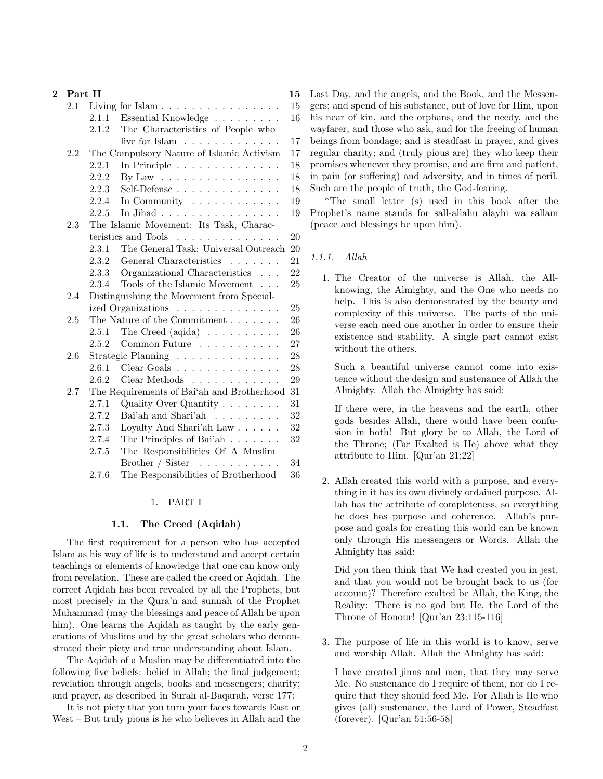| $\overline{2}$ | Part II |                                         |                                              | 15 |
|----------------|---------|-----------------------------------------|----------------------------------------------|----|
|                | 2.1     |                                         | Living for Islam                             | 15 |
|                |         | 2.1.1                                   | Essential Knowledge                          | 16 |
|                |         | 2.1.2                                   | The Characteristics of People who            |    |
|                |         |                                         | live for Islam $\dots \dots \dots \dots$     | 17 |
|                | 2.2     |                                         | The Compulsory Nature of Islamic Activism    | 17 |
|                |         | 2.2.1                                   | In Principle $\ldots \ldots \ldots \ldots$   | 18 |
|                |         | 2.2.2                                   | By Law $\dots \dots \dots \dots \dots \dots$ | 18 |
|                |         | 2.2.3                                   |                                              | 18 |
|                |         | 2.2.4                                   | In Community $\dots \dots \dots \dots$       | 19 |
|                |         | 2.2.5                                   | In Jihad                                     | 19 |
|                | 2.3     | The Islamic Movement: Its Task, Charac- |                                              |    |
|                |         |                                         | teristics and Tools                          | 20 |
|                |         | 2.3.1                                   | The General Task: Universal Outreach         | 20 |
|                |         | 2.3.2                                   | General Characteristics                      | 21 |
|                |         | 2.3.3                                   | Organizational Characteristics               | 22 |
|                |         | 2.3.4                                   | Tools of the Islamic Movement<br>$\ldots$    | 25 |
|                | 2.4     |                                         | Distinguishing the Movement from Special-    |    |
|                |         |                                         | ized Organizations                           | 25 |
|                | $2.5\,$ |                                         | The Nature of the Commitment                 | 26 |
|                |         | 2.5.1                                   | The Creed (aqida) $\ldots \ldots \ldots$     | 26 |
|                |         | 2.5.2                                   | Common Future $\ldots \ldots \ldots$         | 27 |
|                | 2.6     |                                         | Strategic Planning                           | 28 |
|                |         | 2.6.1                                   | Clear Goals                                  | 28 |
|                |         | 2.6.2                                   | Clear Methods                                | 29 |
|                | 2.7     |                                         | The Requirements of Bai'ah and Brotherhood   | 31 |
|                |         | 2.7.1                                   | Quality Over Quantity                        | 31 |
|                |         | 2.7.2                                   | Bai'ah and Shari'ah $\dots \dots \dots$      | 32 |
|                |         | 2.7.3                                   | Loyalty And Shari'ah Law $\ldots$ .          | 32 |
|                |         | 2.7.4                                   | The Principles of Bai'ah $\ldots$            | 32 |
|                |         | 2.7.5                                   | The Responsibilities Of A Muslim             |    |
|                |         |                                         | Brother / Sister $\dots \dots \dots$         | 34 |
|                |         | 2.7.6                                   | The Responsibilities of Brotherhood          | 36 |
|                |         |                                         |                                              |    |

# 1. PART I

#### 1.1. The Creed (Aqidah)

The first requirement for a person who has accepted Islam as his way of life is to understand and accept certain teachings or elements of knowledge that one can know only from revelation. These are called the creed or Aqidah. The correct Aqidah has been revealed by all the Prophets, but most precisely in the Qura'n and sunnah of the Prophet Muhammad (may the blessings and peace of Allah be upon him). One learns the Aqidah as taught by the early generations of Muslims and by the great scholars who demonstrated their piety and true understanding about Islam.

The Aqidah of a Muslim may be differentiated into the following five beliefs: belief in Allah; the final judgement; revelation through angels, books and messengers; charity; and prayer, as described in Surah al-Baqarah, verse 177:

It is not piety that you turn your faces towards East or West – But truly pious is he who believes in Allah and the

Last Day, and the angels, and the Book, and the Messengers; and spend of his substance, out of love for Him, upon his near of kin, and the orphans, and the needy, and the wayfarer, and those who ask, and for the freeing of human beings from bondage; and is steadfast in prayer, and gives regular charity; and (truly pious are) they who keep their promises whenever they promise, and are firm and patient, in pain (or suffering) and adversity, and in times of peril. Such are the people of truth, the God-fearing.

\*The small letter (s) used in this book after the Prophet's name stands for sall-allahu alayhi wa sallam (peace and blessings be upon him).

## 1.1.1. Allah

1. The Creator of the universe is Allah, the Allknowing, the Almighty, and the One who needs no help. This is also demonstrated by the beauty and complexity of this universe. The parts of the universe each need one another in order to ensure their existence and stability. A single part cannot exist without the others.

Such a beautiful universe cannot come into existence without the design and sustenance of Allah the Almighty. Allah the Almighty has said:

If there were, in the heavens and the earth, other gods besides Allah, there would have been confusion in both! But glory be to Allah, the Lord of the Throne; (Far Exalted is He) above what they attribute to Him. [Qur'an 21:22]

2. Allah created this world with a purpose, and everything in it has its own divinely ordained purpose. Allah has the attribute of completeness, so everything he does has purpose and coherence. Allah's purpose and goals for creating this world can be known only through His messengers or Words. Allah the Almighty has said:

Did you then think that We had created you in jest, and that you would not be brought back to us (for account)? Therefore exalted be Allah, the King, the Reality: There is no god but He, the Lord of the Throne of Honour! [Qur'an 23:115-116]

3. The purpose of life in this world is to know, serve and worship Allah. Allah the Almighty has said:

I have created jinns and men, that they may serve Me. No sustenance do I require of them, nor do I require that they should feed Me. For Allah is He who gives (all) sustenance, the Lord of Power, Steadfast (forever). [Qur'an 51:56-58]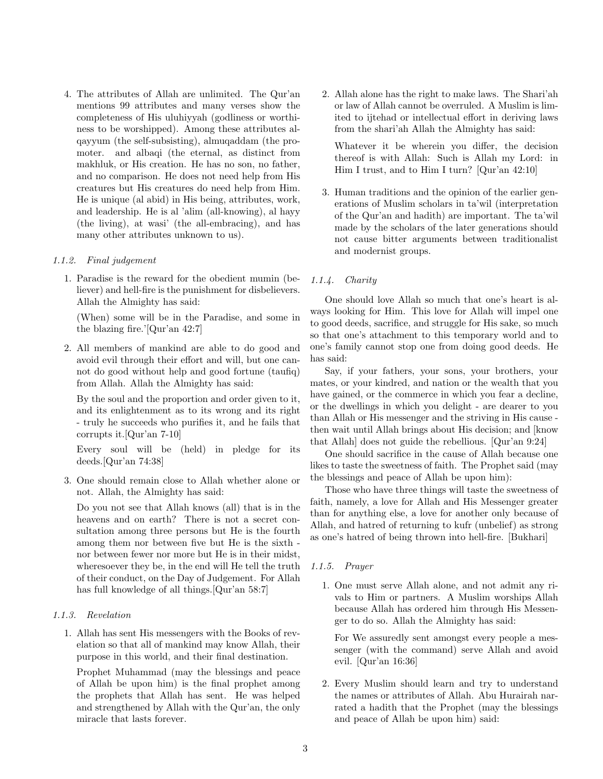4. The attributes of Allah are unlimited. The Qur'an mentions 99 attributes and many verses show the completeness of His uluhiyyah (godliness or worthiness to be worshipped). Among these attributes alqayyum (the self-subsisting), almuqaddam (the promoter. and albaqi (the eternal, as distinct from makhluk, or His creation. He has no son, no father, and no comparison. He does not need help from His creatures but His creatures do need help from Him. He is unique (al abid) in His being, attributes, work, and leadership. He is al 'alim (all-knowing), al hayy (the living), at wasi' (the all-embracing), and has many other attributes unknown to us).

#### 1.1.2. Final judgement

1. Paradise is the reward for the obedient mumin (believer) and hell-fire is the punishment for disbelievers. Allah the Almighty has said:

(When) some will be in the Paradise, and some in the blazing fire.'[Qur'an 42:7]

2. All members of mankind are able to do good and avoid evil through their effort and will, but one cannot do good without help and good fortune (taufiq) from Allah. Allah the Almighty has said:

By the soul and the proportion and order given to it, and its enlightenment as to its wrong and its right - truly he succeeds who purifies it, and he fails that corrupts it.[Qur'an 7-10]

Every soul will be (held) in pledge for its deeds.[Qur'an 74:38]

3. One should remain close to Allah whether alone or not. Allah, the Almighty has said:

Do you not see that Allah knows (all) that is in the heavens and on earth? There is not a secret consultation among three persons but He is the fourth among them nor between five but He is the sixth nor between fewer nor more but He is in their midst, wheresoever they be, in the end will He tell the truth of their conduct, on the Day of Judgement. For Allah has full knowledge of all things.[Qur'an 58:7]

## 1.1.3. Revelation

1. Allah has sent His messengers with the Books of revelation so that all of mankind may know Allah, their purpose in this world, and their final destination.

Prophet Muhammad (may the blessings and peace of Allah be upon him) is the final prophet among the prophets that Allah has sent. He was helped and strengthened by Allah with the Qur'an, the only miracle that lasts forever.

2. Allah alone has the right to make laws. The Shari'ah or law of Allah cannot be overruled. A Muslim is limited to ijtehad or intellectual effort in deriving laws from the shari'ah Allah the Almighty has said:

Whatever it be wherein you differ, the decision thereof is with Allah: Such is Allah my Lord: in Him I trust, and to Him I turn? [Qur'an 42:10]

3. Human traditions and the opinion of the earlier generations of Muslim scholars in ta'wil (interpretation of the Qur'an and hadith) are important. The ta'wil made by the scholars of the later generations should not cause bitter arguments between traditionalist and modernist groups.

## 1.1.4. Charity

One should love Allah so much that one's heart is always looking for Him. This love for Allah will impel one to good deeds, sacrifice, and struggle for His sake, so much so that one's attachment to this temporary world and to one's family cannot stop one from doing good deeds. He has said:

Say, if your fathers, your sons, your brothers, your mates, or your kindred, and nation or the wealth that you have gained, or the commerce in which you fear a decline, or the dwellings in which you delight - are dearer to you than Allah or His messenger and the striving in His cause then wait until Allah brings about His decision; and [know that Allah] does not guide the rebellious. [Qur'an 9:24]

One should sacrifice in the cause of Allah because one likes to taste the sweetness of faith. The Prophet said (may the blessings and peace of Allah be upon him):

Those who have three things will taste the sweetness of faith, namely, a love for Allah and His Messenger greater than for anything else, a love for another only because of Allah, and hatred of returning to kufr (unbelief) as strong as one's hatred of being thrown into hell-fire. [Bukhari]

#### 1.1.5. Prayer

1. One must serve Allah alone, and not admit any rivals to Him or partners. A Muslim worships Allah because Allah has ordered him through His Messenger to do so. Allah the Almighty has said:

For We assuredly sent amongst every people a messenger (with the command) serve Allah and avoid evil. [Qur'an 16:36]

2. Every Muslim should learn and try to understand the names or attributes of Allah. Abu Hurairah narrated a hadith that the Prophet (may the blessings and peace of Allah be upon him) said: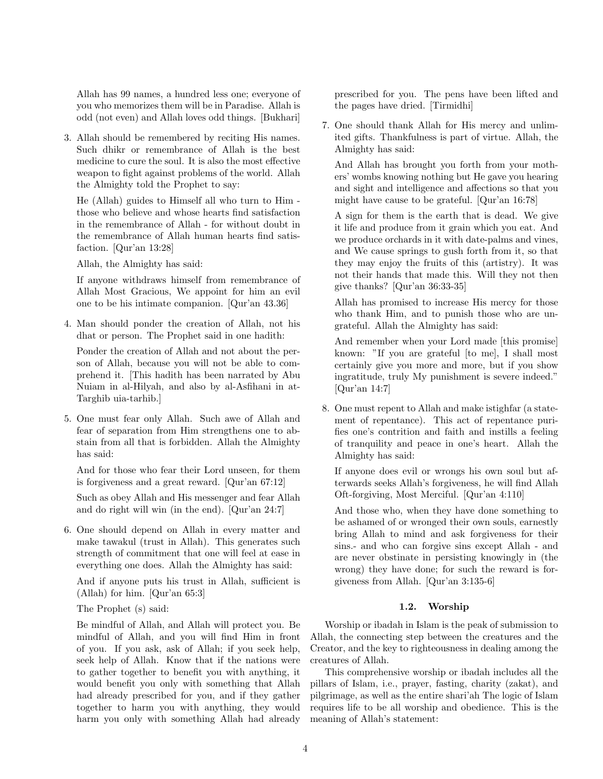Allah has 99 names, a hundred less one; everyone of you who memorizes them will be in Paradise. Allah is odd (not even) and Allah loves odd things. [Bukhari]

3. Allah should be remembered by reciting His names. Such dhikr or remembrance of Allah is the best medicine to cure the soul. It is also the most effective weapon to fight against problems of the world. Allah the Almighty told the Prophet to say:

He (Allah) guides to Himself all who turn to Him those who believe and whose hearts find satisfaction in the remembrance of Allah - for without doubt in the remembrance of Allah human hearts find satisfaction. [Qur'an 13:28]

Allah, the Almighty has said:

If anyone withdraws himself from remembrance of Allah Most Gracious, We appoint for him an evil one to be his intimate companion. [Qur'an 43.36]

4. Man should ponder the creation of Allah, not his dhat or person. The Prophet said in one hadith:

Ponder the creation of Allah and not about the person of Allah, because you will not be able to comprehend it. [This hadith has been narrated by Abu Nuiam in al-Hilyah, and also by al-Asfihani in at-Targhib uia-tarhib.]

5. One must fear only Allah. Such awe of Allah and fear of separation from Him strengthens one to abstain from all that is forbidden. Allah the Almighty has said:

And for those who fear their Lord unseen, for them is forgiveness and a great reward. [Qur'an 67:12]

Such as obey Allah and His messenger and fear Allah and do right will win (in the end). [Qur'an 24:7]

6. One should depend on Allah in every matter and make tawakul (trust in Allah). This generates such strength of commitment that one will feel at ease in everything one does. Allah the Almighty has said:

And if anyone puts his trust in Allah, sufficient is (Allah) for him. [Qur'an 65:3]

The Prophet (s) said:

Be mindful of Allah, and Allah will protect you. Be mindful of Allah, and you will find Him in front of you. If you ask, ask of Allah; if you seek help, seek help of Allah. Know that if the nations were to gather together to benefit you with anything, it would benefit you only with something that Allah had already prescribed for you, and if they gather together to harm you with anything, they would harm you only with something Allah had already prescribed for you. The pens have been lifted and the pages have dried. [Tirmidhi]

7. One should thank Allah for His mercy and unlimited gifts. Thankfulness is part of virtue. Allah, the Almighty has said:

And Allah has brought you forth from your mothers' wombs knowing nothing but He gave you hearing and sight and intelligence and affections so that you might have cause to be grateful. [Qur'an 16:78]

A sign for them is the earth that is dead. We give it life and produce from it grain which you eat. And we produce orchards in it with date-palms and vines, and We cause springs to gush forth from it, so that they may enjoy the fruits of this (artistry). It was not their hands that made this. Will they not then give thanks? [Qur'an 36:33-35]

Allah has promised to increase His mercy for those who thank Him, and to punish those who are ungrateful. Allah the Almighty has said:

And remember when your Lord made [this promise] known: "If you are grateful [to me], I shall most certainly give you more and more, but if you show ingratitude, truly My punishment is severe indeed." [Qur'an 14:7]

8. One must repent to Allah and make istighfar (a statement of repentance). This act of repentance purifies one's contrition and faith and instills a feeling of tranquility and peace in one's heart. Allah the Almighty has said:

If anyone does evil or wrongs his own soul but afterwards seeks Allah's forgiveness, he will find Allah Oft-forgiving, Most Merciful. [Qur'an 4:110]

And those who, when they have done something to be ashamed of or wronged their own souls, earnestly bring Allah to mind and ask forgiveness for their sins.- and who can forgive sins except Allah - and are never obstinate in persisting knowingly in (the wrong) they have done; for such the reward is forgiveness from Allah. [Qur'an 3:135-6]

## 1.2. Worship

Worship or ibadah in Islam is the peak of submission to Allah, the connecting step between the creatures and the Creator, and the key to righteousness in dealing among the creatures of Allah.

This comprehensive worship or ibadah includes all the pillars of Islam, i.e., prayer, fasting, charity (zakat), and pilgrimage, as well as the entire shari'ah The logic of Islam requires life to be all worship and obedience. This is the meaning of Allah's statement: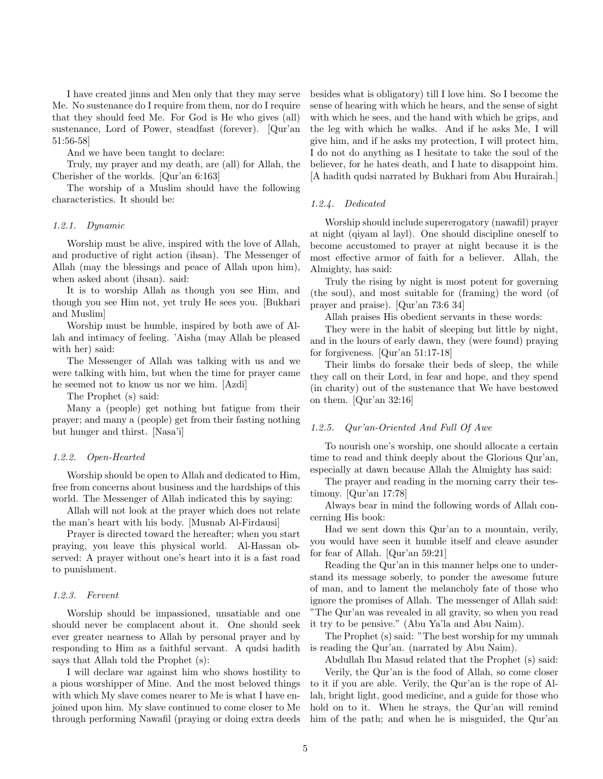I have created jinns and Men only that they may serve Me. No sustenance do I require from them, nor do I require that they should feed Me. For God is He who gives (all) sustenance, Lord of Power, steadfast (forever). [Qur'an 51:56-58]

And we have been taught to declare:

Truly, my prayer and my death, are (all) for Allah, the Cherisher of the worlds. [Qur'an 6:163]

The worship of a Muslim should have the following characteristics. It should be:

#### 1.2.1. Dynamic

Worship must be alive, inspired with the love of Allah, and productive of right action (ihsan). The Messenger of Allah (may the blessings and peace of Allah upon him), when asked about (ihsan). said:

It is to worship Allah as though you see Him, and though you see Him not, yet truly He sees you. [Bukhari and Muslim]

Worship must be humble, inspired by both awe of Allah and intimacy of feeling. 'Aisha (may Allah be pleased with her) said:

The Messenger of Allah was talking with us and we were talking with him, but when the time for prayer came he seemed not to know us nor we him. [Azdi]

The Prophet (s) said:

Many a (people) get nothing but fatigue from their prayer; and many a (people) get from their fasting nothing but hunger and thirst. [Nasa'i]

#### 1.2.2. Open-Hearted

Worship should be open to Allah and dedicated to Him, free from concerns about business and the hardships of this world. The Messenger of Allah indicated this by saying:

Allah will not look at the prayer which does not relate the man's heart with his body. [Musnab Al-Firdausi]

Prayer is directed toward the hereafter; when you start praying, you leave this physical world. Al-Hassan observed: A prayer without one's heart into it is a fast road to punishment.

#### 1.2.3. Fervent

Worship should be impassioned, unsatiable and one should never be complacent about it. One should seek ever greater nearness to Allah by personal prayer and by responding to Him as a faithful servant. A qudsi hadith says that Allah told the Prophet (s):

I will declare war against him who shows hostility to a pious worshipper of Mine. And the most beloved things with which My slave comes nearer to Me is what I have enjoined upon him. My slave continued to come closer to Me through performing Nawafil (praying or doing extra deeds besides what is obligatory) till I love him. So I become the sense of hearing with which he hears, and the sense of sight with which he sees, and the hand with which he grips, and the leg with which he walks. And if he asks Me, I will give him, and if he asks my protection, I will protect him, I do not do anything as I hesitate to take the soul of the believer, for he hates death, and I hate to disappoint him. [A hadith qudsi narrated by Bukhari from Abu Hurairah.]

#### 1.2.4. Dedicated

Worship should include supererogatory (nawafil) prayer at night (qiyam al layl). One should discipline oneself to become accustomed to prayer at night because it is the most effective armor of faith for a believer. Allah, the Almighty, has said:

Truly the rising by night is most potent for governing (the soul), and most suitable for (framing) the word (of prayer and praise). [Qur'an 73:6 34]

Allah praises His obedient servants in these words:

They were in the habit of sleeping but little by night, and in the hours of early dawn, they (were found) praying for forgiveness. [Qur'an 51:17-18]

Their limbs do forsake their beds of sleep, the while they call on their Lord, in fear and hope, and they spend (in charity) out of the sustenance that We have bestowed on them. [Qur'an 32:16]

## 1.2.5. Qur'an-Oriented And Full Of Awe

To nourish one's worship, one should allocate a certain time to read and think deeply about the Glorious Qur'an, especially at dawn because Allah the Almighty has said:

The prayer and reading in the morning carry their testimony. [Qur'an 17:78]

Always bear in mind the following words of Allah concerning His book:

Had we sent down this Qur'an to a mountain, verily, you would have seen it humble itself and cleave asunder for fear of Allah. [Qur'an 59:21]

Reading the Qur'an in this manner helps one to understand its message soberly, to ponder the awesome future of man, and to lament the melancholy fate of those who ignore the promises of Allah. The messenger of Allah said: "The Qur'an was revealed in all gravity, so when you read it try to be pensive." (Abu Ya'la and Abu Naim).

The Prophet (s) said: "The best worship for my ummah is reading the Qur'an. (narrated by Abu Naim).

Abdullah Ibn Masud related that the Prophet (s) said: Verily, the Qur'an is the food of Allah, so come closer to it if you are able. Verily, the Qur'an is the rope of Allah, bright light, good medicine, and a guide for those who hold on to it. When he strays, the Qur'an will remind him of the path; and when he is misguided, the Qur'an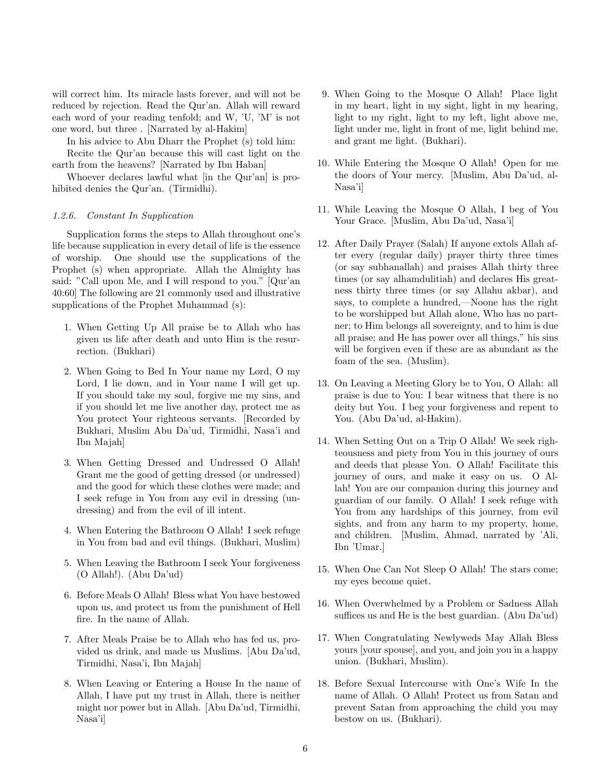will correct him. Its miracle lasts forever, and will not be reduced by rejection. Read the Qur'an. Allah will reward each word of your reading tenfold; and W, 'U, 'M' is not one word, but three . [Narrated by al-Hakim]

In his advice to Abu Dharr the Prophet (s) told him: Recite the Qur'an because this will cast light on the earth from the heavens? [Narrated by Ibn Haban]

Whoever declares lawful what [in the Qur'an] is prohibited denies the Qur'an. (Tirmidhi).

## 1.2.6. Constant In Supplication

Supplication forms the steps to Allah throughout one's life because supplication in every detail of life is the essence of worship. One should use the supplications of the Prophet (s) when appropriate. Allah the Almighty has said: "Call upon Me, and I will respond to you." [Qur'an 40:60] The following are 21 commonly used and illustrative supplications of the Prophet Muhammad (s):

- 1. When Getting Up All praise be to Allah who has given us life after death and unto Him is the resurrection. (Bukhari)
- 2. When Going to Bed In Your name my Lord, O my Lord, I lie down, and in Your name I will get up. If you should take my soul, forgive me my sins, and if you should let me live another day, protect me as You protect Your righteous servants. [Recorded by Bukhari, Muslim Abu Da'ud, Tirmidhi, Nasa'i and Ibn Majah]
- 3. When Getting Dressed and Undressed O Allah! Grant me the good of getting dressed (or undressed) and the good for which these clothes were made; and I seek refuge in You from any evil in dressing (undressing) and from the evil of ill intent.
- 4. When Entering the Bathroom O Allah! I seek refuge in You from bad and evil things. (Bukhari, Muslim)
- 5. When Leaving the Bathroom I seek Your forgiveness (O Allah!). (Abu Da'ud)
- 6. Before Meals O Allah! Bless what You have bestowed upon us, and protect us from the punishment of Hell fire. In the name of Allah.
- 7. After Meals Praise be to Allah who has fed us, provided us drink, and made us Muslims. [Abu Da'ud, Tirmidhi, Nasa'i, Ibn Majah]
- 8. When Leaving or Entering a House In the name of Allah, I have put my trust in Allah, there is neither might nor power but in Allah. [Abu Da'ud, Tirmidhi, Nasa'i]
- 9. When Going to the Mosque O Allah! Place light in my heart, light in my sight, light in my hearing, light to my right, light to my left, light above me, light under me, light in front of me, light behind me, and grant me light. (Bukhari).
- 10. While Entering the Mosque O Allah! Open for me the doors of Your mercy. [Muslim, Abu Da'ud, al-Nasa'i]
- 11. While Leaving the Mosque O Allah, I beg of You Your Grace. [Muslim, Abu Da'ud, Nasa'i]
- 12. After Daily Prayer (Salah) If anyone extols Allah after every (regular daily) prayer thirty three times (or say subhanallah) and praises Allah thirty three times (or say alhamdulitiah) and declares His greatness thirty three times (or say Allahu akbar), and says, to complete a hundred,—Noone has the right to be worshipped but Allah alone, Who has no partner; to Him belongs all sovereignty, and to him is due all praise; and He has power over all things," his sins will be forgiven even if these are as abundant as the foam of the sea. (Muslim).
- 13. On Leaving a Meeting Glory be to You, O Allah: all praise is due to You: I bear witness that there is no deity but You. I beg your forgiveness and repent to You. (Abu Da'ud, al-Hakim).
- 14. When Setting Out on a Trip O Allah! We seek righteousness and piety from You in this journey of ours and deeds that please You. O Allah! Facilitate this journey of ours, and make it easy on us. O Allah! You are our companion during this journey and guardian of our family. O Allah! I seek refuge with You from any hardships of this journey, from evil sights, and from any harm to my property, home, and children. [Muslim, Ahmad, narrated by 'Ali, Ibn 'Umar.]
- 15. When One Can Not Sleep O Allah! The stars come; my eyes become quiet.
- 16. When Overwhelmed by a Problem or Sadness Allah suffices us and He is the best guardian. (Abu Da'ud)
- 17. When Congratulating Newlyweds May Allah Bless yours [your spouse], and you, and join you in a happy union. (Bukhari, Muslim).
- 18. Before Sexual Intercourse with One's Wife In the name of Allah. O Allah! Protect us from Satan and prevent Satan from approaching the child you may bestow on us. (Bukhari).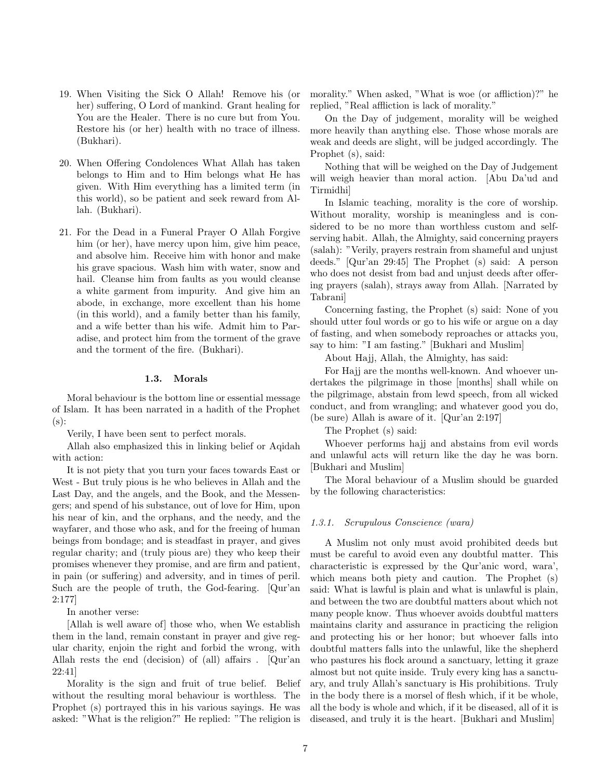- 19. When Visiting the Sick O Allah! Remove his (or her) suffering, O Lord of mankind. Grant healing for You are the Healer. There is no cure but from You. Restore his (or her) health with no trace of illness. (Bukhari).
- 20. When Offering Condolences What Allah has taken belongs to Him and to Him belongs what He has given. With Him everything has a limited term (in this world), so be patient and seek reward from Allah. (Bukhari).
- 21. For the Dead in a Funeral Prayer O Allah Forgive him (or her), have mercy upon him, give him peace, and absolve him. Receive him with honor and make his grave spacious. Wash him with water, snow and hail. Cleanse him from faults as you would cleanse a white garment from impurity. And give him an abode, in exchange, more excellent than his home (in this world), and a family better than his family, and a wife better than his wife. Admit him to Paradise, and protect him from the torment of the grave and the torment of the fire. (Bukhari).

#### 1.3. Morals

Moral behaviour is the bottom line or essential message of Islam. It has been narrated in a hadith of the Prophet (s):

Verily, I have been sent to perfect morals.

Allah also emphasized this in linking belief or Aqidah with action:

It is not piety that you turn your faces towards East or West - But truly pious is he who believes in Allah and the Last Day, and the angels, and the Book, and the Messengers; and spend of his substance, out of love for Him, upon his near of kin, and the orphans, and the needy, and the wayfarer, and those who ask, and for the freeing of human beings from bondage; and is steadfast in prayer, and gives regular charity; and (truly pious are) they who keep their promises whenever they promise, and are firm and patient, in pain (or suffering) and adversity, and in times of peril. Such are the people of truth, the God-fearing. [Qur'an 2:177]

In another verse:

[Allah is well aware of] those who, when We establish them in the land, remain constant in prayer and give regular charity, enjoin the right and forbid the wrong, with Allah rests the end (decision) of (all) affairs . [Qur'an 22:41]

Morality is the sign and fruit of true belief. Belief without the resulting moral behaviour is worthless. The Prophet (s) portrayed this in his various sayings. He was asked: "What is the religion?" He replied: "The religion is morality." When asked, "What is woe (or affliction)?" he replied, "Real affliction is lack of morality."

On the Day of judgement, morality will be weighed more heavily than anything else. Those whose morals are weak and deeds are slight, will be judged accordingly. The Prophet (s), said:

Nothing that will be weighed on the Day of Judgement will weigh heavier than moral action. [Abu Da'ud and Tirmidhi]

In Islamic teaching, morality is the core of worship. Without morality, worship is meaningless and is considered to be no more than worthless custom and selfserving habit. Allah, the Almighty, said concerning prayers (salah): "Verily, prayers restrain from shameful and unjust deeds." [Qur'an 29:45] The Prophet (s) said: A person who does not desist from bad and unjust deeds after offering prayers (salah), strays away from Allah. [Narrated by Tabrani]

Concerning fasting, the Prophet (s) said: None of you should utter foul words or go to his wife or argue on a day of fasting, and when somebody reproaches or attacks you, say to him: "I am fasting." [Bukhari and Muslim]

About Hajj, Allah, the Almighty, has said:

For Hajj are the months well-known. And whoever undertakes the pilgrimage in those [months] shall while on the pilgrimage, abstain from lewd speech, from all wicked conduct, and from wrangling; and whatever good you do, (be sure) Allah is aware of it. [Qur'an 2:197]

The Prophet (s) said:

Whoever performs hajj and abstains from evil words and unlawful acts will return like the day he was born. [Bukhari and Muslim]

The Moral behaviour of a Muslim should be guarded by the following characteristics:

#### 1.3.1. Scrupulous Conscience (wara)

A Muslim not only must avoid prohibited deeds but must be careful to avoid even any doubtful matter. This characteristic is expressed by the Qur'anic word, wara', which means both piety and caution. The Prophet (s) said: What is lawful is plain and what is unlawful is plain, and between the two are doubtful matters about which not many people know. Thus whoever avoids doubtful matters maintains clarity and assurance in practicing the religion and protecting his or her honor; but whoever falls into doubtful matters falls into the unlawful, like the shepherd who pastures his flock around a sanctuary, letting it graze almost but not quite inside. Truly every king has a sanctuary, and truly Allah's sanctuary is His prohibitions. Truly in the body there is a morsel of flesh which, if it be whole, all the body is whole and which, if it be diseased, all of it is diseased, and truly it is the heart. [Bukhari and Muslim]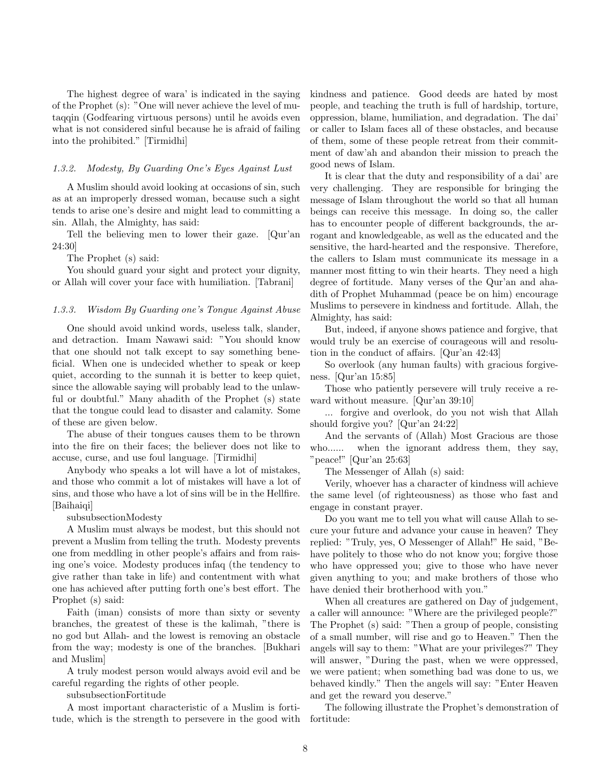The highest degree of wara' is indicated in the saying of the Prophet (s): "One will never achieve the level of mutaqqin (Godfearing virtuous persons) until he avoids even what is not considered sinful because he is afraid of failing into the prohibited." [Tirmidhi]

## 1.3.2. Modesty, By Guarding One's Eyes Against Lust

A Muslim should avoid looking at occasions of sin, such as at an improperly dressed woman, because such a sight tends to arise one's desire and might lead to committing a sin. Allah, the Almighty, has said:

Tell the believing men to lower their gaze. [Qur'an 24:30]

The Prophet (s) said:

You should guard your sight and protect your dignity, or Allah will cover your face with humiliation. [Tabrani]

#### 1.3.3. Wisdom By Guarding one's Tongue Against Abuse

One should avoid unkind words, useless talk, slander, and detraction. Imam Nawawi said: "You should know that one should not talk except to say something beneficial. When one is undecided whether to speak or keep quiet, according to the sunnah it is better to keep quiet, since the allowable saying will probably lead to the unlawful or doubtful." Many ahadith of the Prophet (s) state that the tongue could lead to disaster and calamity. Some of these are given below.

The abuse of their tongues causes them to be thrown into the fire on their faces; the believer does not like to accuse, curse, and use foul language. [Tirmidhi]

Anybody who speaks a lot will have a lot of mistakes, and those who commit a lot of mistakes will have a lot of sins, and those who have a lot of sins will be in the Hellfire. [Baihaiqi]

subsubsectionModesty

A Muslim must always be modest, but this should not prevent a Muslim from telling the truth. Modesty prevents one from meddling in other people's affairs and from raising one's voice. Modesty produces infaq (the tendency to give rather than take in life) and contentment with what one has achieved after putting forth one's best effort. The Prophet (s) said:

Faith (iman) consists of more than sixty or seventy branches, the greatest of these is the kalimah, "there is no god but Allah- and the lowest is removing an obstacle from the way; modesty is one of the branches. [Bukhari and Muslim]

A truly modest person would always avoid evil and be careful regarding the rights of other people.

subsubsectionFortitude

A most important characteristic of a Muslim is fortitude, which is the strength to persevere in the good with kindness and patience. Good deeds are hated by most people, and teaching the truth is full of hardship, torture, oppression, blame, humiliation, and degradation. The dai' or caller to Islam faces all of these obstacles, and because of them, some of these people retreat from their commitment of daw'ah and abandon their mission to preach the good news of Islam.

It is clear that the duty and responsibility of a dai' are very challenging. They are responsible for bringing the message of Islam throughout the world so that all human beings can receive this message. In doing so, the caller has to encounter people of different backgrounds, the arrogant and knowledgeable, as well as the educated and the sensitive, the hard-hearted and the responsive. Therefore, the callers to Islam must communicate its message in a manner most fitting to win their hearts. They need a high degree of fortitude. Many verses of the Qur'an and ahadith of Prophet Muhammad (peace be on him) encourage Muslims to persevere in kindness and fortitude. Allah, the Almighty, has said:

But, indeed, if anyone shows patience and forgive, that would truly be an exercise of courageous will and resolution in the conduct of affairs. [Qur'an 42:43]

So overlook (any human faults) with gracious forgiveness. [Qur'an 15:85]

Those who patiently persevere will truly receive a reward without measure. [Qur'an 39:10]

... forgive and overlook, do you not wish that Allah should forgive you? [Qur'an 24:22]

And the servants of (Allah) Most Gracious are those who...... when the ignorant address them, they say, "peace!" [Qur'an 25:63]

The Messenger of Allah (s) said:

Verily, whoever has a character of kindness will achieve the same level (of righteousness) as those who fast and engage in constant prayer.

Do you want me to tell you what will cause Allah to secure your future and advance your cause in heaven? They replied: "Truly, yes, O Messenger of Allah!" He said, "Behave politely to those who do not know you; forgive those who have oppressed you; give to those who have never given anything to you; and make brothers of those who have denied their brotherhood with you."

When all creatures are gathered on Day of judgement, a caller will announce: "Where are the privileged people?" The Prophet (s) said: "Then a group of people, consisting of a small number, will rise and go to Heaven." Then the angels will say to them: "What are your privileges?" They will answer, "During the past, when we were oppressed, we were patient; when something bad was done to us, we behaved kindly." Then the angels will say: "Enter Heaven and get the reward you deserve."

The following illustrate the Prophet's demonstration of fortitude: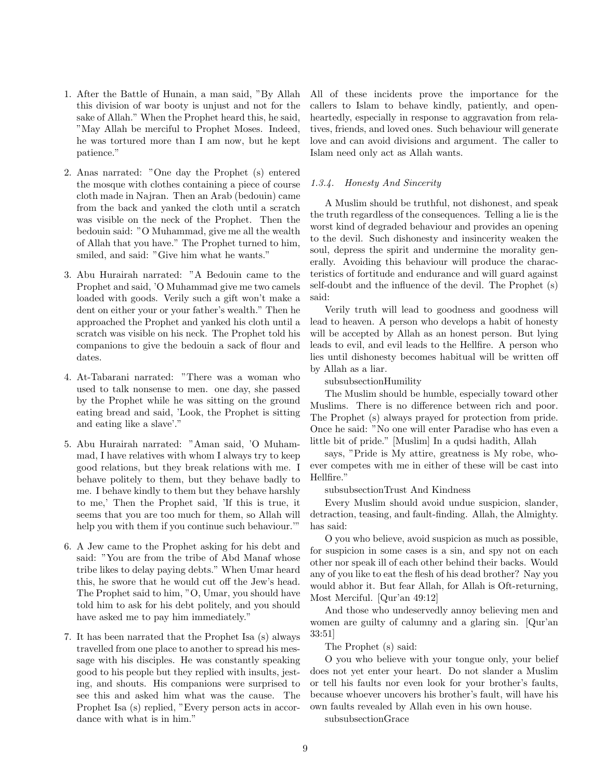- 1. After the Battle of Hunain, a man said, "By Allah this division of war booty is unjust and not for the sake of Allah." When the Prophet heard this, he said, "May Allah be merciful to Prophet Moses. Indeed, he was tortured more than I am now, but he kept patience."
- 2. Anas narrated: "One day the Prophet (s) entered the mosque with clothes containing a piece of course cloth made in Najran. Then an Arab (bedouin) came from the back and yanked the cloth until a scratch was visible on the neck of the Prophet. Then the bedouin said: "O Muhammad, give me all the wealth of Allah that you have." The Prophet turned to him, smiled, and said: "Give him what he wants."
- 3. Abu Hurairah narrated: "A Bedouin came to the Prophet and said, 'O Muhammad give me two camels loaded with goods. Verily such a gift won't make a dent on either your or your father's wealth." Then he approached the Prophet and yanked his cloth until a scratch was visible on his neck. The Prophet told his companions to give the bedouin a sack of flour and dates.
- 4. At-Tabarani narrated: "There was a woman who used to talk nonsense to men. one day, she passed by the Prophet while he was sitting on the ground eating bread and said, 'Look, the Prophet is sitting and eating like a slave'."
- 5. Abu Hurairah narrated: "Aman said, 'O Muhammad, I have relatives with whom I always try to keep good relations, but they break relations with me. I behave politely to them, but they behave badly to me. I behave kindly to them but they behave harshly to me,' Then the Prophet said, 'If this is true, it seems that you are too much for them, so Allah will help you with them if you continue such behaviour."
- 6. A Jew came to the Prophet asking for his debt and said: "You are from the tribe of Abd Manaf whose tribe likes to delay paying debts." When Umar heard this, he swore that he would cut off the Jew's head. The Prophet said to him, "O, Umar, you should have told him to ask for his debt politely, and you should have asked me to pay him immediately."
- 7. It has been narrated that the Prophet Isa (s) always travelled from one place to another to spread his message with his disciples. He was constantly speaking good to his people but they replied with insults, jesting, and shouts. His companions were surprised to see this and asked him what was the cause. The Prophet Isa (s) replied, "Every person acts in accordance with what is in him."

All of these incidents prove the importance for the callers to Islam to behave kindly, patiently, and openheartedly, especially in response to aggravation from relatives, friends, and loved ones. Such behaviour will generate love and can avoid divisions and argument. The caller to Islam need only act as Allah wants.

## 1.3.4. Honesty And Sincerity

A Muslim should be truthful, not dishonest, and speak the truth regardless of the consequences. Telling a lie is the worst kind of degraded behaviour and provides an opening to the devil. Such dishonesty and insincerity weaken the soul, depress the spirit and undermine the morality generally. Avoiding this behaviour will produce the characteristics of fortitude and endurance and will guard against self-doubt and the influence of the devil. The Prophet (s) said:

Verily truth will lead to goodness and goodness will lead to heaven. A person who develops a habit of honesty will be accepted by Allah as an honest person. But lying leads to evil, and evil leads to the Hellfire. A person who lies until dishonesty becomes habitual will be written off by Allah as a liar.

subsubsectionHumility

The Muslim should be humble, especially toward other Muslims. There is no difference between rich and poor. The Prophet (s) always prayed for protection from pride. Once he said: "No one will enter Paradise who has even a little bit of pride." [Muslim] In a qudsi hadith, Allah

says, "Pride is My attire, greatness is My robe, whoever competes with me in either of these will be cast into Hellfire."

subsubsectionTrust And Kindness

Every Muslim should avoid undue suspicion, slander, detraction, teasing, and fault-finding. Allah, the Almighty. has said:

O you who believe, avoid suspicion as much as possible, for suspicion in some cases is a sin, and spy not on each other nor speak ill of each other behind their backs. Would any of you like to eat the flesh of his dead brother? Nay you would abhor it. But fear Allah, for Allah is Oft-returning, Most Merciful. [Qur'an 49:12]

And those who undeservedly annoy believing men and women are guilty of calumny and a glaring sin. [Qur'an 33:51]

The Prophet (s) said:

O you who believe with your tongue only, your belief does not yet enter your heart. Do not slander a Muslim or tell his faults nor even look for your brother's faults, because whoever uncovers his brother's fault, will have his own faults revealed by Allah even in his own house.

subsubsectionGrace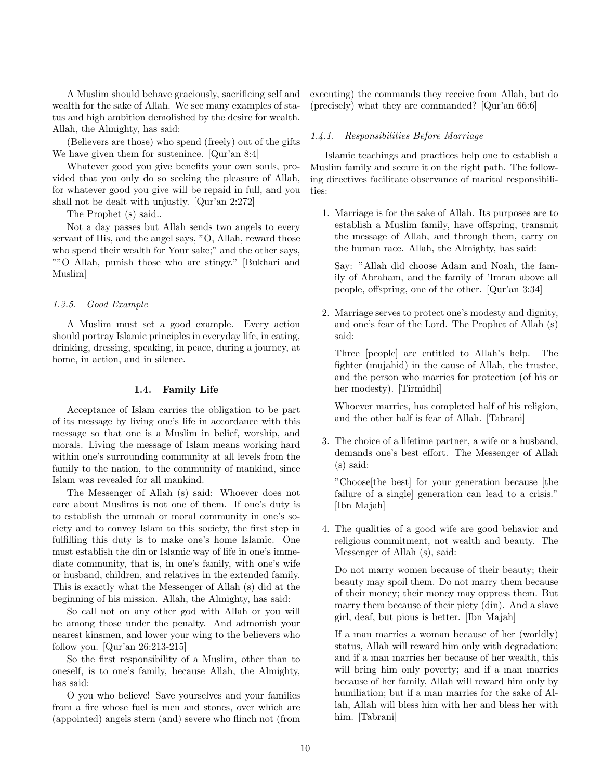A Muslim should behave graciously, sacrificing self and wealth for the sake of Allah. We see many examples of status and high ambition demolished by the desire for wealth. Allah, the Almighty, has said:

(Believers are those) who spend (freely) out of the gifts We have given them for sustenince. [Qur'an 8:4]

Whatever good you give benefits your own souls, provided that you only do so seeking the pleasure of Allah, for whatever good you give will be repaid in full, and you shall not be dealt with unjustly. [Qur'an 2:272]

The Prophet (s) said..

Not a day passes but Allah sends two angels to every servant of His, and the angel says, "O, Allah, reward those who spend their wealth for Your sake;" and the other says, ""O Allah, punish those who are stingy." [Bukhari and Muslim]

## 1.3.5. Good Example

A Muslim must set a good example. Every action should portray Islamic principles in everyday life, in eating, drinking, dressing, speaking, in peace, during a journey, at home, in action, and in silence.

## 1.4. Family Life

Acceptance of Islam carries the obligation to be part of its message by living one's life in accordance with this message so that one is a Muslim in belief, worship, and morals. Living the message of Islam means working hard within one's surrounding community at all levels from the family to the nation, to the community of mankind, since Islam was revealed for all mankind.

The Messenger of Allah (s) said: Whoever does not care about Muslims is not one of them. If one's duty is to establish the ummah or moral community in one's society and to convey Islam to this society, the first step in fulfilling this duty is to make one's home Islamic. One must establish the din or Islamic way of life in one's immediate community, that is, in one's family, with one's wife or husband, children, and relatives in the extended family. This is exactly what the Messenger of Allah (s) did at the beginning of his mission. Allah, the Almighty, has said:

So call not on any other god with Allah or you will be among those under the penalty. And admonish your nearest kinsmen, and lower your wing to the believers who follow you. [Qur'an 26:213-215]

So the first responsibility of a Muslim, other than to oneself, is to one's family, because Allah, the Almighty, has said:

O you who believe! Save yourselves and your families from a fire whose fuel is men and stones, over which are (appointed) angels stern (and) severe who flinch not (from

executing) the commands they receive from Allah, but do (precisely) what they are commanded? [Qur'an 66:6]

#### 1.4.1. Responsibilities Before Marriage

Islamic teachings and practices help one to establish a Muslim family and secure it on the right path. The following directives facilitate observance of marital responsibilities:

1. Marriage is for the sake of Allah. Its purposes are to establish a Muslim family, have offspring, transmit the message of Allah, and through them, carry on the human race. Allah, the Almighty, has said:

Say: "Allah did choose Adam and Noah, the family of Abraham, and the family of 'Imran above all people, offspring, one of the other. [Qur'an 3:34]

2. Marriage serves to protect one's modesty and dignity, and one's fear of the Lord. The Prophet of Allah (s) said:

Three [people] are entitled to Allah's help. The fighter (mujahid) in the cause of Allah, the trustee, and the person who marries for protection (of his or her modesty). [Tirmidhi]

Whoever marries, has completed half of his religion, and the other half is fear of Allah. [Tabrani]

3. The choice of a lifetime partner, a wife or a husband, demands one's best effort. The Messenger of Allah (s) said:

"Choose[the best] for your generation because [the failure of a single] generation can lead to a crisis." [Ibn Majah]

4. The qualities of a good wife are good behavior and religious commitment, not wealth and beauty. The Messenger of Allah (s), said:

Do not marry women because of their beauty; their beauty may spoil them. Do not marry them because of their money; their money may oppress them. But marry them because of their piety (din). And a slave girl, deaf, but pious is better. [Ibn Majah]

If a man marries a woman because of her (worldly) status, Allah will reward him only with degradation; and if a man marries her because of her wealth, this will bring him only poverty; and if a man marries because of her family, Allah will reward him only by humiliation; but if a man marries for the sake of Allah, Allah will bless him with her and bless her with him. [Tabrani]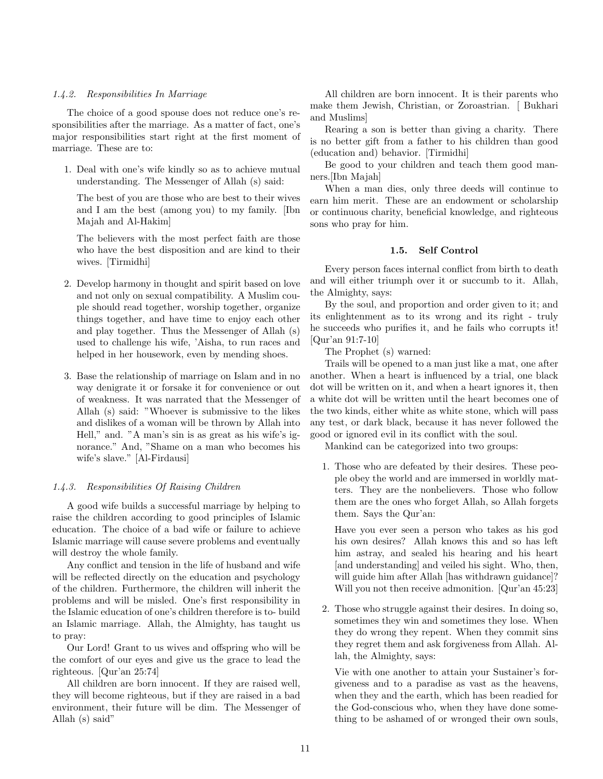## 1.4.2. Responsibilities In Marriage

The choice of a good spouse does not reduce one's responsibilities after the marriage. As a matter of fact, one's major responsibilities start right at the first moment of marriage. These are to:

1. Deal with one's wife kindly so as to achieve mutual understanding. The Messenger of Allah (s) said:

The best of you are those who are best to their wives and I am the best (among you) to my family. [Ibn Majah and Al-Hakim]

The believers with the most perfect faith are those who have the best disposition and are kind to their wives. [Tirmidhi]

- 2. Develop harmony in thought and spirit based on love and not only on sexual compatibility. A Muslim couple should read together, worship together, organize things together, and have time to enjoy each other and play together. Thus the Messenger of Allah (s) used to challenge his wife, 'Aisha, to run races and helped in her housework, even by mending shoes.
- 3. Base the relationship of marriage on Islam and in no way denigrate it or forsake it for convenience or out of weakness. It was narrated that the Messenger of Allah (s) said: "Whoever is submissive to the likes and dislikes of a woman will be thrown by Allah into Hell," and. "A man's sin is as great as his wife's ignorance." And, "Shame on a man who becomes his wife's slave." [Al-Firdausi]

#### 1.4.3. Responsibilities Of Raising Children

A good wife builds a successful marriage by helping to raise the children according to good principles of Islamic education. The choice of a bad wife or failure to achieve Islamic marriage will cause severe problems and eventually will destroy the whole family.

Any conflict and tension in the life of husband and wife will be reflected directly on the education and psychology of the children. Furthermore, the children will inherit the problems and will be misled. One's first responsibility in the Islamic education of one's children therefore is to- build an Islamic marriage. Allah, the Almighty, has taught us to pray:

Our Lord! Grant to us wives and offspring who will be the comfort of our eyes and give us the grace to lead the righteous. [Qur'an 25:74]

All children are born innocent. If they are raised well, they will become righteous, but if they are raised in a bad environment, their future will be dim. The Messenger of Allah (s) said"

All children are born innocent. It is their parents who make them Jewish, Christian, or Zoroastrian. [ Bukhari and Muslims]

Rearing a son is better than giving a charity. There is no better gift from a father to his children than good (education and) behavior. [Tirmidhi]

Be good to your children and teach them good manners.[Ibn Majah]

When a man dies, only three deeds will continue to earn him merit. These are an endowment or scholarship or continuous charity, beneficial knowledge, and righteous sons who pray for him.

#### 1.5. Self Control

Every person faces internal conflict from birth to death and will either triumph over it or succumb to it. Allah, the Almighty, says:

By the soul, and proportion and order given to it; and its enlightenment as to its wrong and its right - truly he succeeds who purifies it, and he fails who corrupts it! [Qur'an 91:7-10]

The Prophet (s) warned:

Trails will be opened to a man just like a mat, one after another. When a heart is influenced by a trial, one black dot will be written on it, and when a heart ignores it, then a white dot will be written until the heart becomes one of the two kinds, either white as white stone, which will pass any test, or dark black, because it has never followed the good or ignored evil in its conflict with the soul.

Mankind can be categorized into two groups:

1. Those who are defeated by their desires. These people obey the world and are immersed in worldly matters. They are the nonbelievers. Those who follow them are the ones who forget Allah, so Allah forgets them. Says the Qur'an:

Have you ever seen a person who takes as his god his own desires? Allah knows this and so has left him astray, and sealed his hearing and his heart [and understanding] and veiled his sight. Who, then, will guide him after Allah [has withdrawn guidance]? Will you not then receive admonition. [Qur'an 45:23]

2. Those who struggle against their desires. In doing so, sometimes they win and sometimes they lose. When they do wrong they repent. When they commit sins they regret them and ask forgiveness from Allah. Allah, the Almighty, says:

Vie with one another to attain your Sustainer's forgiveness and to a paradise as vast as the heavens, when they and the earth, which has been readied for the God-conscious who, when they have done something to be ashamed of or wronged their own souls,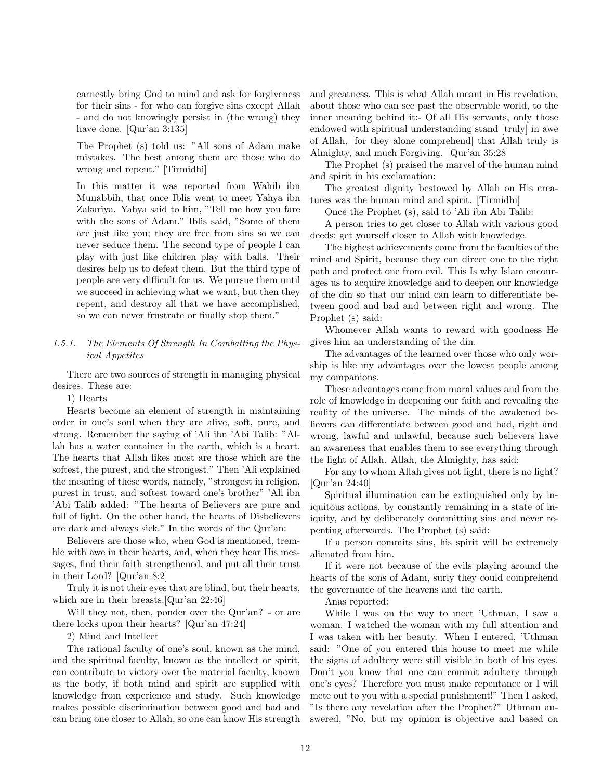earnestly bring God to mind and ask for forgiveness for their sins - for who can forgive sins except Allah - and do not knowingly persist in (the wrong) they have done. [Qur'an 3:135]

The Prophet (s) told us: "All sons of Adam make mistakes. The best among them are those who do wrong and repent." [Tirmidhi]

In this matter it was reported from Wahib ibn Munabbih, that once Iblis went to meet Yahya ibn Zakariya. Yahya said to him, "Tell me how you fare with the sons of Adam." Iblis said, "Some of them are just like you; they are free from sins so we can never seduce them. The second type of people I can play with just like children play with balls. Their desires help us to defeat them. But the third type of people are very difficult for us. We pursue them until we succeed in achieving what we want, but then they repent, and destroy all that we have accomplished, so we can never frustrate or finally stop them."

## 1.5.1. The Elements Of Strength In Combatting the Physical Appetites

There are two sources of strength in managing physical desires. These are:

1) Hearts

Hearts become an element of strength in maintaining order in one's soul when they are alive, soft, pure, and strong. Remember the saying of 'Ali ibn 'Abi Talib: "Allah has a water container in the earth, which is a heart. The hearts that Allah likes most are those which are the softest, the purest, and the strongest." Then 'Ali explained the meaning of these words, namely, "strongest in religion, purest in trust, and softest toward one's brother" 'Ali ibn 'Abi Talib added: "The hearts of Believers are pure and full of light. On the other hand, the hearts of Disbelievers are dark and always sick." In the words of the Qur'an:

Believers are those who, when God is mentioned, tremble with awe in their hearts, and, when they hear His messages, find their faith strengthened, and put all their trust in their Lord? [Qur'an 8:2]

Truly it is not their eyes that are blind, but their hearts, which are in their breasts.[Qur'an 22:46]

Will they not, then, ponder over the Qur'an? - or are there locks upon their hearts? [Qur'an 47:24]

2) Mind and Intellect

The rational faculty of one's soul, known as the mind, and the spiritual faculty, known as the intellect or spirit, can contribute to victory over the material faculty, known as the body, if both mind and spirit are supplied with knowledge from experience and study. Such knowledge makes possible discrimination between good and bad and can bring one closer to Allah, so one can know His strength and greatness. This is what Allah meant in His revelation, about those who can see past the observable world, to the inner meaning behind it:- Of all His servants, only those endowed with spiritual understanding stand [truly] in awe of Allah, [for they alone comprehend] that Allah truly is Almighty, and much Forgiving. [Qur'an 35:28]

The Prophet (s) praised the marvel of the human mind and spirit in his exclamation:

The greatest dignity bestowed by Allah on His creatures was the human mind and spirit. [Tirmidhi]

Once the Prophet (s), said to 'Ali ibn Abi Talib:

A person tries to get closer to Allah with various good deeds; get yourself closer to Allah with knowledge.

The highest achievements come from the faculties of the mind and Spirit, because they can direct one to the right path and protect one from evil. This Is why Islam encourages us to acquire knowledge and to deepen our knowledge of the din so that our mind can learn to differentiate between good and bad and between right and wrong. The Prophet (s) said:

Whomever Allah wants to reward with goodness He gives him an understanding of the din.

The advantages of the learned over those who only worship is like my advantages over the lowest people among my companions.

These advantages come from moral values and from the role of knowledge in deepening our faith and revealing the reality of the universe. The minds of the awakened believers can differentiate between good and bad, right and wrong, lawful and unlawful, because such believers have an awareness that enables them to see everything through the light of Allah. Allah, the Almighty, has said:

For any to whom Allah gives not light, there is no light? [Qur'an 24:40]

Spiritual illumination can be extinguished only by iniquitous actions, by constantly remaining in a state of iniquity, and by deliberately committing sins and never repenting afterwards. The Prophet (s) said:

If a person commits sins, his spirit will be extremely alienated from him.

If it were not because of the evils playing around the hearts of the sons of Adam, surly they could comprehend the governance of the heavens and the earth.

Anas reported:

While I was on the way to meet 'Uthman, I saw a woman. I watched the woman with my full attention and I was taken with her beauty. When I entered, 'Uthman said: "One of you entered this house to meet me while the signs of adultery were still visible in both of his eyes. Don't you know that one can commit adultery through one's eyes? Therefore you must make repentance or I will mete out to you with a special punishment!" Then I asked, "Is there any revelation after the Prophet?" Uthman answered, "No, but my opinion is objective and based on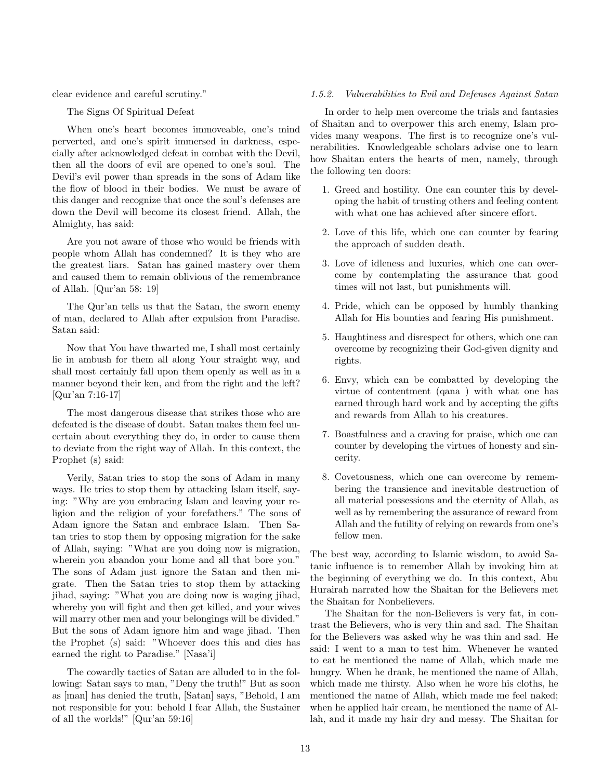clear evidence and careful scrutiny."

The Signs Of Spiritual Defeat

When one's heart becomes immoveable, one's mind perverted, and one's spirit immersed in darkness, especially after acknowledged defeat in combat with the Devil, then all the doors of evil are opened to one's soul. The Devil's evil power than spreads in the sons of Adam like the flow of blood in their bodies. We must be aware of this danger and recognize that once the soul's defenses are down the Devil will become its closest friend. Allah, the Almighty, has said:

Are you not aware of those who would be friends with people whom Allah has condemned? It is they who are the greatest liars. Satan has gained mastery over them and caused them to remain oblivious of the remembrance of Allah. [Qur'an 58: 19]

The Qur'an tells us that the Satan, the sworn enemy of man, declared to Allah after expulsion from Paradise. Satan said:

Now that You have thwarted me, I shall most certainly lie in ambush for them all along Your straight way, and shall most certainly fall upon them openly as well as in a manner beyond their ken, and from the right and the left? [Qur'an 7:16-17]

The most dangerous disease that strikes those who are defeated is the disease of doubt. Satan makes them feel uncertain about everything they do, in order to cause them to deviate from the right way of Allah. In this context, the Prophet (s) said:

Verily, Satan tries to stop the sons of Adam in many ways. He tries to stop them by attacking Islam itself, saying: "Why are you embracing Islam and leaving your religion and the religion of your forefathers." The sons of Adam ignore the Satan and embrace Islam. Then Satan tries to stop them by opposing migration for the sake of Allah, saying: "What are you doing now is migration, wherein you abandon your home and all that bore you." The sons of Adam just ignore the Satan and then migrate. Then the Satan tries to stop them by attacking jihad, saying: "What you are doing now is waging jihad, whereby you will fight and then get killed, and your wives will marry other men and your belongings will be divided." But the sons of Adam ignore him and wage jihad. Then the Prophet (s) said: "Whoever does this and dies has earned the right to Paradise." [Nasa'i]

The cowardly tactics of Satan are alluded to in the following: Satan says to man, "Deny the truth!" But as soon as [man] has denied the truth, [Satan] says, "Behold, I am not responsible for you: behold I fear Allah, the Sustainer of all the worlds!" [Qur'an 59:16]

#### 1.5.2. Vulnerabilities to Evil and Defenses Against Satan

In order to help men overcome the trials and fantasies of Shaitan and to overpower this arch enemy, Islam provides many weapons. The first is to recognize one's vulnerabilities. Knowledgeable scholars advise one to learn how Shaitan enters the hearts of men, namely, through the following ten doors:

- 1. Greed and hostility. One can counter this by developing the habit of trusting others and feeling content with what one has achieved after sincere effort.
- 2. Love of this life, which one can counter by fearing the approach of sudden death.
- 3. Love of idleness and luxuries, which one can overcome by contemplating the assurance that good times will not last, but punishments will.
- 4. Pride, which can be opposed by humbly thanking Allah for His bounties and fearing His punishment.
- 5. Haughtiness and disrespect for others, which one can overcome by recognizing their God-given dignity and rights.
- 6. Envy, which can be combatted by developing the virtue of contentment (qana ) with what one has earned through hard work and by accepting the gifts and rewards from Allah to his creatures.
- 7. Boastfulness and a craving for praise, which one can counter by developing the virtues of honesty and sincerity.
- 8. Covetousness, which one can overcome by remembering the transience and inevitable destruction of all material possessions and the eternity of Allah, as well as by remembering the assurance of reward from Allah and the futility of relying on rewards from one's fellow men.

The best way, according to Islamic wisdom, to avoid Satanic influence is to remember Allah by invoking him at the beginning of everything we do. In this context, Abu Hurairah narrated how the Shaitan for the Believers met the Shaitan for Nonbelievers.

The Shaitan for the non-Believers is very fat, in contrast the Believers, who is very thin and sad. The Shaitan for the Believers was asked why he was thin and sad. He said: I went to a man to test him. Whenever he wanted to eat he mentioned the name of Allah, which made me hungry. When he drank, he mentioned the name of Allah, which made me thirsty. Also when he wore his cloths, he mentioned the name of Allah, which made me feel naked; when he applied hair cream, he mentioned the name of Allah, and it made my hair dry and messy. The Shaitan for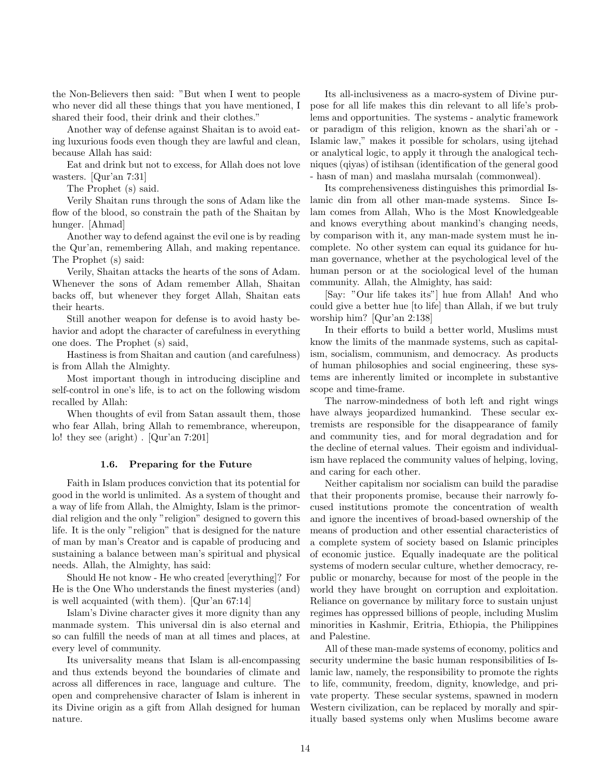the Non-Believers then said: "But when I went to people who never did all these things that you have mentioned, I shared their food, their drink and their clothes."

Another way of defense against Shaitan is to avoid eating luxurious foods even though they are lawful and clean, because Allah has said:

Eat and drink but not to excess, for Allah does not love wasters. [Qur'an 7:31]

The Prophet (s) said.

Verily Shaitan runs through the sons of Adam like the flow of the blood, so constrain the path of the Shaitan by hunger. [Ahmad]

Another way to defend against the evil one is by reading the Qur'an, remembering Allah, and making repentance. The Prophet (s) said:

Verily, Shaitan attacks the hearts of the sons of Adam. Whenever the sons of Adam remember Allah, Shaitan backs off, but whenever they forget Allah, Shaitan eats their hearts.

Still another weapon for defense is to avoid hasty behavior and adopt the character of carefulness in everything one does. The Prophet (s) said,

Hastiness is from Shaitan and caution (and carefulness) is from Allah the Almighty.

Most important though in introducing discipline and self-control in one's life, is to act on the following wisdom recalled by Allah:

When thoughts of evil from Satan assault them, those who fear Allah, bring Allah to remembrance, whereupon, lo! they see (aright) . [Qur'an 7:201]

#### 1.6. Preparing for the Future

Faith in Islam produces conviction that its potential for good in the world is unlimited. As a system of thought and a way of life from Allah, the Almighty, Islam is the primordial religion and the only "religion" designed to govern this life. It is the only "religion" that is designed for the nature of man by man's Creator and is capable of producing and sustaining a balance between man's spiritual and physical needs. Allah, the Almighty, has said:

Should He not know - He who created [everything]? For He is the One Who understands the finest mysteries (and) is well acquainted (with them). [Qur'an 67:14]

Islam's Divine character gives it more dignity than any manmade system. This universal din is also eternal and so can fulfill the needs of man at all times and places, at every level of community.

Its universality means that Islam is all-encompassing and thus extends beyond the boundaries of climate and across all differences in race, language and culture. The open and comprehensive character of Islam is inherent in its Divine origin as a gift from Allah designed for human nature.

Its all-inclusiveness as a macro-system of Divine purpose for all life makes this din relevant to all life's problems and opportunities. The systems - analytic framework or paradigm of this religion, known as the shari'ah or - Islamic law," makes it possible for scholars, using ijtehad or analytical logic, to apply it through the analogical techniques (qiyas) of istihsan (identification of the general good - hasn of man) and maslaha mursalah (commonweal).

Its comprehensiveness distinguishes this primordial Islamic din from all other man-made systems. Since Islam comes from Allah, Who is the Most Knowledgeable and knows everything about mankind's changing needs, by comparison with it, any man-made system must he incomplete. No other system can equal its guidance for human governance, whether at the psychological level of the human person or at the sociological level of the human community. Allah, the Almighty, has said:

[Say: "Our life takes its"] hue from Allah! And who could give a better hue [to life] than Allah, if we but truly worship him? [Qur'an 2:138]

In their efforts to build a better world, Muslims must know the limits of the manmade systems, such as capitalism, socialism, communism, and democracy. As products of human philosophies and social engineering, these systems are inherently limited or incomplete in substantive scope and time-frame.

The narrow-mindedness of both left and right wings have always jeopardized humankind. These secular extremists are responsible for the disappearance of family and community ties, and for moral degradation and for the decline of eternal values. Their egoism and individualism have replaced the community values of helping, loving, and caring for each other.

Neither capitalism nor socialism can build the paradise that their proponents promise, because their narrowly focused institutions promote the concentration of wealth and ignore the incentives of broad-based ownership of the means of production and other essential characteristics of a complete system of society based on Islamic principles of economic justice. Equally inadequate are the political systems of modern secular culture, whether democracy, republic or monarchy, because for most of the people in the world they have brought on corruption and exploitation. Reliance on governance by military force to sustain unjust regimes has oppressed billions of people, including Muslim minorities in Kashmir, Eritria, Ethiopia, the Philippines and Palestine.

All of these man-made systems of economy, politics and security undermine the basic human responsibilities of Islamic law, namely, the responsibility to promote the rights to life, community, freedom, dignity, knowledge, and private property. These secular systems, spawned in modern Western civilization, can be replaced by morally and spiritually based systems only when Muslims become aware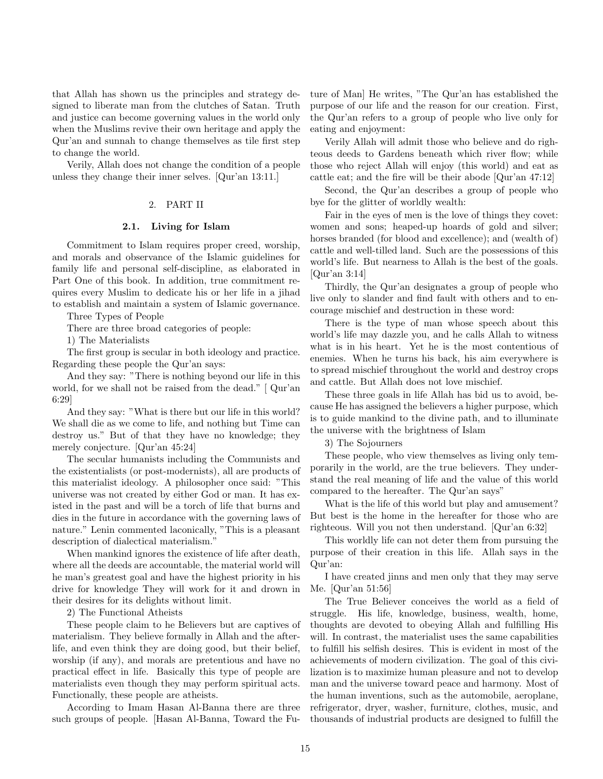that Allah has shown us the principles and strategy designed to liberate man from the clutches of Satan. Truth and justice can become governing values in the world only when the Muslims revive their own heritage and apply the Qur'an and sunnah to change themselves as tile first step to change the world.

Verily, Allah does not change the condition of a people unless they change their inner selves. [Qur'an 13:11.]

### 2. PART II

#### 2.1. Living for Islam

Commitment to Islam requires proper creed, worship, and morals and observance of the Islamic guidelines for family life and personal self-discipline, as elaborated in Part One of this book. In addition, true commitment requires every Muslim to dedicate his or her life in a jihad to establish and maintain a system of Islamic governance.

Three Types of People

There are three broad categories of people:

1) The Materialists

The first group is secular in both ideology and practice. Regarding these people the Qur'an says:

And they say: "There is nothing beyond our life in this world, for we shall not be raised from the dead." [ Qur'an 6:29]

And they say: "What is there but our life in this world? We shall die as we come to life, and nothing but Time can destroy us." But of that they have no knowledge; they merely conjecture. [Qur'an 45:24]

The secular humanists including the Communists and the existentialists (or post-modernists), all are products of this materialist ideology. A philosopher once said: "This universe was not created by either God or man. It has existed in the past and will be a torch of life that burns and dies in the future in accordance with the governing laws of nature." Lenin commented laconically, "This is a pleasant description of dialectical materialism."

When mankind ignores the existence of life after death, where all the deeds are accountable, the material world will he man's greatest goal and have the highest priority in his drive for knowledge They will work for it and drown in their desires for its delights without limit.

2) The Functional Atheists

These people claim to he Believers but are captives of materialism. They believe formally in Allah and the afterlife, and even think they are doing good, but their belief, worship (if any), and morals are pretentious and have no practical effect in life. Basically this type of people are materialists even though they may perform spiritual acts. Functionally, these people are atheists.

According to Imam Hasan Al-Banna there are three such groups of people. [Hasan Al-Banna, Toward the Future of Man] He writes, "The Qur'an has established the purpose of our life and the reason for our creation. First, the Qur'an refers to a group of people who live only for eating and enjoyment:

Verily Allah will admit those who believe and do righteous deeds to Gardens beneath which river flow; while those who reject Allah will enjoy (this world) and eat as cattle eat; and the fire will be their abode [Qur'an 47:12]

Second, the Qur'an describes a group of people who bye for the glitter of worldly wealth:

Fair in the eyes of men is the love of things they covet: women and sons; heaped-up hoards of gold and silver; horses branded (for blood and excellence); and (wealth of) cattle and well-tilled land. Such are the possessions of this world's life. But nearness to Allah is the best of the goals. [Qur'an 3:14]

Thirdly, the Qur'an designates a group of people who live only to slander and find fault with others and to encourage mischief and destruction in these word:

There is the type of man whose speech about this world's life may dazzle you, and he calls Allah to witness what is in his heart. Yet he is the most contentious of enemies. When he turns his back, his aim everywhere is to spread mischief throughout the world and destroy crops and cattle. But Allah does not love mischief.

These three goals in life Allah has bid us to avoid, because He has assigned the believers a higher purpose, which is to guide mankind to the divine path, and to illuminate the universe with the brightness of Islam

3) The Sojourners

These people, who view themselves as living only temporarily in the world, are the true believers. They understand the real meaning of life and the value of this world compared to the hereafter. The Qur'an says"

What is the life of this world but play and amusement? But best is the home in the hereafter for those who are righteous. Will you not then understand. [Qur'an 6:32]

This worldly life can not deter them from pursuing the purpose of their creation in this life. Allah says in the Qur'an:

I have created jinns and men only that they may serve Me. [Qur'an 51:56]

The True Believer conceives the world as a field of struggle. His life, knowledge, business, wealth, home, thoughts are devoted to obeying Allah and fulfilling His will. In contrast, the materialist uses the same capabilities to fulfill his selfish desires. This is evident in most of the achievements of modern civilization. The goal of this civilization is to maximize human pleasure and not to develop man and the universe toward peace and harmony. Most of the human inventions, such as the automobile, aeroplane, refrigerator, dryer, washer, furniture, clothes, music, and thousands of industrial products are designed to fulfill the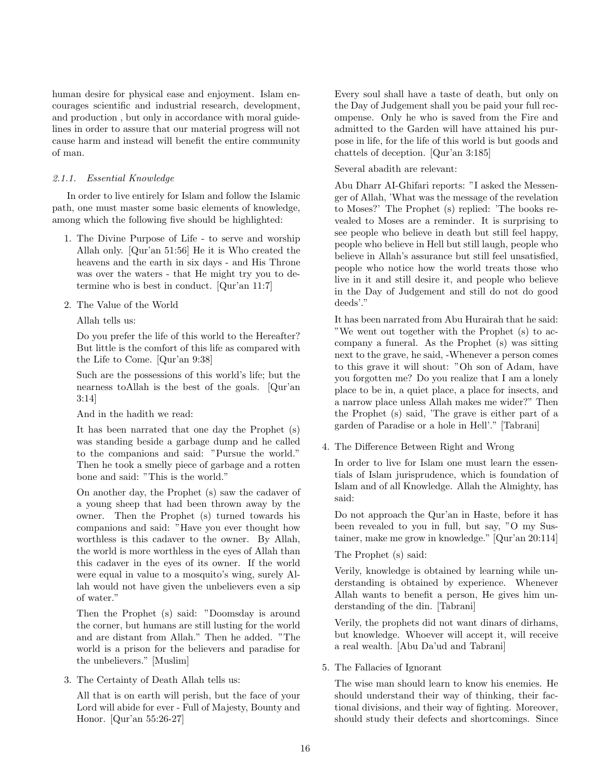human desire for physical ease and enjoyment. Islam encourages scientific and industrial research, development, and production , but only in accordance with moral guidelines in order to assure that our material progress will not cause harm and instead will benefit the entire community of man.

# 2.1.1. Essential Knowledge

In order to live entirely for Islam and follow the Islamic path, one must master some basic elements of knowledge, among which the following five should be highlighted:

- 1. The Divine Purpose of Life to serve and worship Allah only. [Qur'an 51:56] He it is Who created the heavens and the earth in six days - and His Throne was over the waters - that He might try you to determine who is best in conduct. [Qur'an 11:7]
- 2. The Value of the World

Allah tells us:

Do you prefer the life of this world to the Hereafter? But little is the comfort of this life as compared with the Life to Come. [Qur'an 9:38]

Such are the possessions of this world's life; but the nearness toAllah is the best of the goals. [Qur'an 3:14]

And in the hadith we read:

It has been narrated that one day the Prophet (s) was standing beside a garbage dump and he called to the companions and said: "Pursue the world." Then he took a smelly piece of garbage and a rotten bone and said: "This is the world."

On another day, the Prophet (s) saw the cadaver of a young sheep that had been thrown away by the owner. Then the Prophet (s) turned towards his companions and said: "Have you ever thought how worthless is this cadaver to the owner. By Allah, the world is more worthless in the eyes of Allah than this cadaver in the eyes of its owner. If the world were equal in value to a mosquito's wing, surely Allah would not have given the unbelievers even a sip of water."

Then the Prophet (s) said: "Doomsday is around the corner, but humans are still lusting for the world and are distant from Allah." Then he added. "The world is a prison for the believers and paradise for the unbelievers." [Muslim]

3. The Certainty of Death Allah tells us:

All that is on earth will perish, but the face of your Lord will abide for ever - Full of Majesty, Bounty and Honor. [Qur'an 55:26-27]

Every soul shall have a taste of death, but only on the Day of Judgement shall you be paid your full recompense. Only he who is saved from the Fire and admitted to the Garden will have attained his purpose in life, for the life of this world is but goods and chattels of deception. [Qur'an 3:185]

Several abadith are relevant:

Abu Dharr AI-Ghifari reports: "I asked the Messenger of Allah, 'What was the message of the revelation to Moses?' The Prophet (s) replied: 'The books revealed to Moses are a reminder. It is surprising to see people who believe in death but still feel happy, people who believe in Hell but still laugh, people who believe in Allah's assurance but still feel unsatisfied, people who notice how the world treats those who live in it and still desire it, and people who believe in the Day of Judgement and still do not do good deeds'."

It has been narrated from Abu Hurairah that he said: "We went out together with the Prophet (s) to accompany a funeral. As the Prophet (s) was sitting next to the grave, he said, -Whenever a person comes to this grave it will shout: "Oh son of Adam, have you forgotten me? Do you realize that I am a lonely place to be in, a quiet place, a place for insects, and a narrow place unless Allah makes me wider?" Then the Prophet (s) said, 'The grave is either part of a garden of Paradise or a hole in Hell'." [Tabrani]

4. The Difference Between Right and Wrong

In order to live for Islam one must learn the essentials of Islam jurisprudence, which is foundation of Islam and of all Knowledge. Allah the Almighty, has said:

Do not approach the Qur'an in Haste, before it has been revealed to you in full, but say, "O my Sustainer, make me grow in knowledge." [Qur'an 20:114]

# The Prophet (s) said:

Verily, knowledge is obtained by learning while understanding is obtained by experience. Whenever Allah wants to benefit a person, He gives him understanding of the din. [Tabrani]

Verily, the prophets did not want dinars of dirhams, but knowledge. Whoever will accept it, will receive a real wealth. [Abu Da'ud and Tabrani]

5. The Fallacies of Ignorant

The wise man should learn to know his enemies. He should understand their way of thinking, their factional divisions, and their way of fighting. Moreover, should study their defects and shortcomings. Since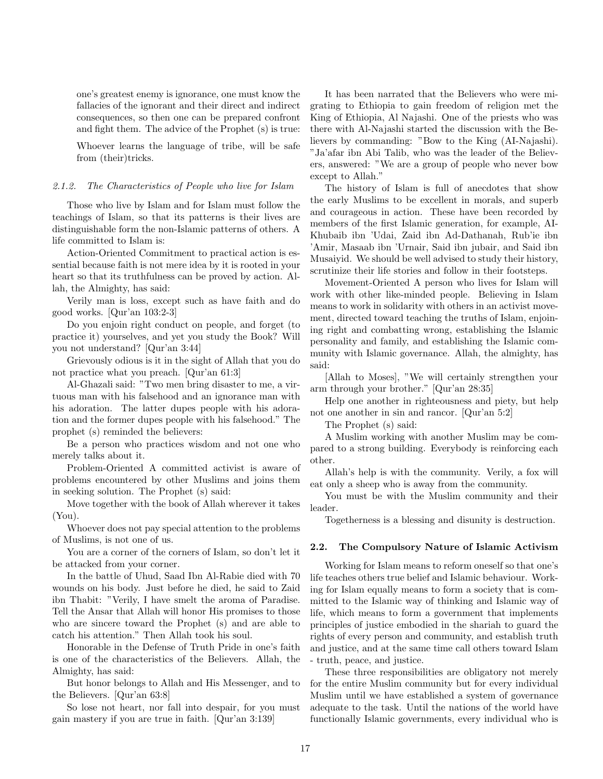one's greatest enemy is ignorance, one must know the fallacies of the ignorant and their direct and indirect consequences, so then one can be prepared confront and fight them. The advice of the Prophet (s) is true:

Whoever learns the language of tribe, will be safe from (their)tricks.

#### 2.1.2. The Characteristics of People who live for Islam

Those who live by Islam and for Islam must follow the teachings of Islam, so that its patterns is their lives are distinguishable form the non-Islamic patterns of others. A life committed to Islam is:

Action-Oriented Commitment to practical action is essential because faith is not mere idea by it is rooted in your heart so that its truthfulness can be proved by action. Allah, the Almighty, has said:

Verily man is loss, except such as have faith and do good works. [Qur'an 103:2-3]

Do you enjoin right conduct on people, and forget (to practice it) yourselves, and yet you study the Book? Will you not understand? [Qur'an 3:44]

Grievously odious is it in the sight of Allah that you do not practice what you preach. [Qur'an 61:3]

Al-Ghazali said: "Two men bring disaster to me, a virtuous man with his falsehood and an ignorance man with his adoration. The latter dupes people with his adoration and the former dupes people with his falsehood." The prophet (s) reminded the believers:

Be a person who practices wisdom and not one who merely talks about it.

Problem-Oriented A committed activist is aware of problems encountered by other Muslims and joins them in seeking solution. The Prophet (s) said:

Move together with the book of Allah wherever it takes (You).

Whoever does not pay special attention to the problems of Muslims, is not one of us.

You are a corner of the corners of Islam, so don't let it be attacked from your corner.

In the battle of Uhud, Saad Ibn Al-Rabie died with 70 wounds on his body. Just before he died, he said to Zaid ibn Thabit: "Verily, I have smelt the aroma of Paradise. Tell the Ansar that Allah will honor His promises to those who are sincere toward the Prophet (s) and are able to catch his attention." Then Allah took his soul.

Honorable in the Defense of Truth Pride in one's faith is one of the characteristics of the Believers. Allah, the Almighty, has said:

But honor belongs to Allah and His Messenger, and to the Believers. [Qur'an 63:8]

So lose not heart, nor fall into despair, for you must gain mastery if you are true in faith. [Qur'an 3:139]

It has been narrated that the Believers who were migrating to Ethiopia to gain freedom of religion met the King of Ethiopia, Al Najashi. One of the priests who was there with Al-Najashi started the discussion with the Believers by commanding: "Bow to the King (AI-Najashi). "Ja'afar ibn Abi Talib, who was the leader of the Believers, answered: "We are a group of people who never bow except to Allah."

The history of Islam is full of anecdotes that show the early Muslims to be excellent in morals, and superb and courageous in action. These have been recorded by members of the first Islamic generation, for example, AI-Khubaib ibn 'Udai, Zaid ibn Ad-Dathanah, Rub'ie ibn 'Amir, Masaab ibn 'Urnair, Said ibn jubair, and Said ibn Musaiyid. We should be well advised to study their history, scrutinize their life stories and follow in their footsteps.

Movement-Oriented A person who lives for Islam will work with other like-minded people. Believing in Islam means to work in solidarity with others in an activist movement, directed toward teaching the truths of Islam, enjoining right and combatting wrong, establishing the Islamic personality and family, and establishing the Islamic community with Islamic governance. Allah, the almighty, has said:

[Allah to Moses], "We will certainly strengthen your arm through your brother." [Qur'an 28:35]

Help one another in righteousness and piety, but help not one another in sin and rancor. [Qur'an 5:2]

The Prophet (s) said:

A Muslim working with another Muslim may be compared to a strong building. Everybody is reinforcing each other.

Allah's help is with the community. Verily, a fox will eat only a sheep who is away from the community.

You must be with the Muslim community and their leader.

Togetherness is a blessing and disunity is destruction.

## 2.2. The Compulsory Nature of Islamic Activism

Working for Islam means to reform oneself so that one's life teaches others true belief and Islamic behaviour. Working for Islam equally means to form a society that is committed to the Islamic way of thinking and Islamic way of life, which means to form a government that implements principles of justice embodied in the shariah to guard the rights of every person and community, and establish truth and justice, and at the same time call others toward Islam - truth, peace, and justice.

These three responsibilities are obligatory not merely for the entire Muslim community but for every individual Muslim until we have established a system of governance adequate to the task. Until the nations of the world have functionally Islamic governments, every individual who is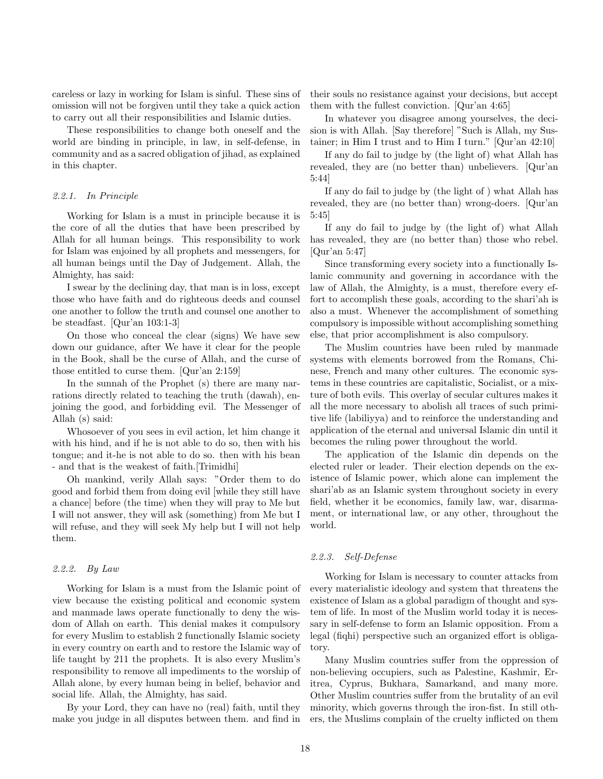careless or lazy in working for Islam is sinful. These sins of omission will not be forgiven until they take a quick action to carry out all their responsibilities and Islamic duties.

These responsibilities to change both oneself and the world are binding in principle, in law, in self-defense, in community and as a sacred obligation of jihad, as explained in this chapter.

#### 2.2.1. In Principle

Working for Islam is a must in principle because it is the core of all the duties that have been prescribed by Allah for all human beings. This responsibility to work for Islam was enjoined by all prophets and messengers, for all human beings until the Day of Judgement. Allah, the Almighty, has said:

I swear by the declining day, that man is in loss, except those who have faith and do righteous deeds and counsel one another to follow the truth and counsel one another to be steadfast. [Qur'an 103:1-3]

On those who conceal the clear (signs) We have sew down our guidance, after We have it clear for the people in the Book, shall be the curse of Allah, and the curse of those entitled to curse them. [Qur'an 2:159]

In the sunnah of the Prophet (s) there are many narrations directly related to teaching the truth (dawah), enjoining the good, and forbidding evil. The Messenger of Allah (s) said:

Whosoever of you sees in evil action, let him change it with his hind, and if he is not able to do so, then with his tongue; and it-he is not able to do so. then with his bean - and that is the weakest of faith.[Trimidhi]

Oh mankind, verily Allah says: "Order them to do good and forbid them from doing evil [while they still have a chance] before (the time) when they will pray to Me but I will not answer, they will ask (something) from Me but I will refuse, and they will seek My help but I will not help them.

#### 2.2.2. By Law

Working for Islam is a must from the Islamic point of view because the existing political and economic system and manmade laws operate functionally to deny the wisdom of Allah on earth. This denial makes it compulsory for every Muslim to establish 2 functionally Islamic society in every country on earth and to restore the Islamic way of life taught by 211 the prophets. It is also every Muslim's responsibility to remove all impediments to the worship of Allah alone, by every human being in belief, behavior and social life. Allah, the Almighty, has said.

By your Lord, they can have no (real) faith, until they make you judge in all disputes between them. and find in their souls no resistance against your decisions, but accept them with the fullest conviction. [Qur'an 4:65]

In whatever you disagree among yourselves, the decision is with Allah. [Say therefore] "Such is Allah, my Sustainer; in Him I trust and to Him I turn." [Qur'an 42:10]

If any do fail to judge by (the light of) what Allah has revealed, they are (no better than) unbelievers. [Qur'an 5:44]

If any do fail to judge by (the light of ) what Allah has revealed, they are (no better than) wrong-doers. [Qur'an 5:45]

If any do fail to judge by (the light of) what Allah has revealed, they are (no better than) those who rebel. [Qur'an 5:47]

Since transforming every society into a functionally Islamic community and governing in accordance with the law of Allah, the Almighty, is a must, therefore every effort to accomplish these goals, according to the shari'ah is also a must. Whenever the accomplishment of something compulsory is impossible without accomplishing something else, that prior accomplishment is also compulsory.

The Muslim countries have been ruled by manmade systems with elements borrowed from the Romans, Chinese, French and many other cultures. The economic systems in these countries are capitalistic, Socialist, or a mixture of both evils. This overlay of secular cultures makes it all the more necessary to abolish all traces of such primitive life (labiliyya) and to reinforce the understanding and application of the eternal and universal Islamic din until it becomes the ruling power throughout the world.

The application of the Islamic din depends on the elected ruler or leader. Their election depends on the existence of Islamic power, which alone can implement the shari'ab as an Islamic system throughout society in every field, whether it be economics, family law, war, disarmament, or international law, or any other, throughout the world.

## 2.2.3. Self-Defense

Working for Islam is necessary to counter attacks from every materialistic ideology and system that threatens the existence of Islam as a global paradigm of thought and system of life. In most of the Muslim world today it is necessary in self-defense to form an Islamic opposition. From a legal (fiqhi) perspective such an organized effort is obligatory.

Many Muslim countries suffer from the oppression of non-believing occupiers, such as Palestine, Kashmir, Eritrea, Cyprus, Bukhara, Samarkand, and many more. Other Muslim countries suffer from the brutality of an evil minority, which governs through the iron-fist. In still others, the Muslims complain of the cruelty inflicted on them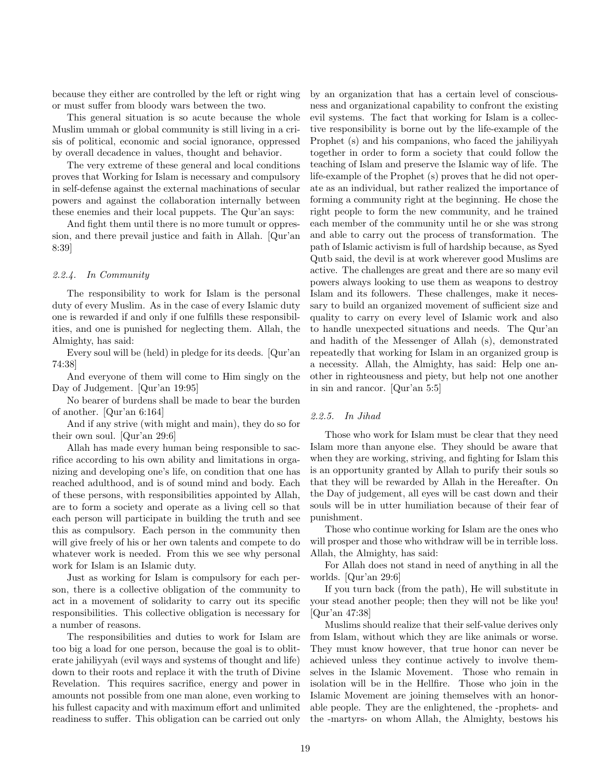because they either are controlled by the left or right wing or must suffer from bloody wars between the two.

This general situation is so acute because the whole Muslim ummah or global community is still living in a crisis of political, economic and social ignorance, oppressed by overall decadence in values, thought and behavior.

The very extreme of these general and local conditions proves that Working for Islam is necessary and compulsory in self-defense against the external machinations of secular powers and against the collaboration internally between these enemies and their local puppets. The Qur'an says:

And fight them until there is no more tumult or oppression, and there prevail justice and faith in Allah. [Qur'an 8:39]

## 2.2.4. In Community

The responsibility to work for Islam is the personal duty of every Muslim. As in the case of every Islamic duty one is rewarded if and only if one fulfills these responsibilities, and one is punished for neglecting them. Allah, the Almighty, has said:

Every soul will be (held) in pledge for its deeds. [Qur'an 74:38]

And everyone of them will come to Him singly on the Day of Judgement. [Qur'an 19:95]

No bearer of burdens shall be made to bear the burden of another. [Qur'an 6:164]

And if any strive (with might and main), they do so for their own soul. [Qur'an 29:6]

Allah has made every human being responsible to sacrifice according to his own ability and limitations in organizing and developing one's life, on condition that one has reached adulthood, and is of sound mind and body. Each of these persons, with responsibilities appointed by Allah, are to form a society and operate as a living cell so that each person will participate in building the truth and see this as compulsory. Each person in the community then will give freely of his or her own talents and compete to do whatever work is needed. From this we see why personal work for Islam is an Islamic duty.

Just as working for Islam is compulsory for each person, there is a collective obligation of the community to act in a movement of solidarity to carry out its specific responsibilities. This collective obligation is necessary for a number of reasons.

The responsibilities and duties to work for Islam are too big a load for one person, because the goal is to obliterate jahiliyyah (evil ways and systems of thought and life) down to their roots and replace it with the truth of Divine Revelation. This requires sacrifice, energy and power in amounts not possible from one man alone, even working to his fullest capacity and with maximum effort and unlimited readiness to suffer. This obligation can be carried out only by an organization that has a certain level of consciousness and organizational capability to confront the existing evil systems. The fact that working for Islam is a collective responsibility is borne out by the life-example of the Prophet (s) and his companions, who faced the jahiliyyah together in order to form a society that could follow the teaching of Islam and preserve the Islamic way of life. The life-example of the Prophet (s) proves that he did not operate as an individual, but rather realized the importance of forming a community right at the beginning. He chose the right people to form the new community, and he trained each member of the community until he or she was strong and able to carry out the process of transformation. The path of Islamic activism is full of hardship because, as Syed Qutb said, the devil is at work wherever good Muslims are active. The challenges are great and there are so many evil powers always looking to use them as weapons to destroy Islam and its followers. These challenges, make it necessary to build an organized movement of sufficient size and quality to carry on every level of Islamic work and also to handle unexpected situations and needs. The Qur'an and hadith of the Messenger of Allah (s), demonstrated repeatedly that working for Islam in an organized group is a necessity. Allah, the Almighty, has said: Help one another in righteousness and piety, but help not one another in sin and rancor. [Qur'an 5:5]

#### 2.2.5. In Jihad

Those who work for Islam must be clear that they need Islam more than anyone else. They should be aware that when they are working, striving, and fighting for Islam this is an opportunity granted by Allah to purify their souls so that they will be rewarded by Allah in the Hereafter. On the Day of judgement, all eyes will be cast down and their souls will be in utter humiliation because of their fear of punishment.

Those who continue working for Islam are the ones who will prosper and those who withdraw will be in terrible loss. Allah, the Almighty, has said:

For Allah does not stand in need of anything in all the worlds. [Qur'an 29:6]

If you turn back (from the path), He will substitute in your stead another people; then they will not be like you! [Qur'an 47:38]

Muslims should realize that their self-value derives only from Islam, without which they are like animals or worse. They must know however, that true honor can never be achieved unless they continue actively to involve themselves in the Islamic Movement. Those who remain in isolation will be in the Hellfire. Those who join in the Islamic Movement are joining themselves with an honorable people. They are the enlightened, the -prophets- and the -martyrs- on whom Allah, the Almighty, bestows his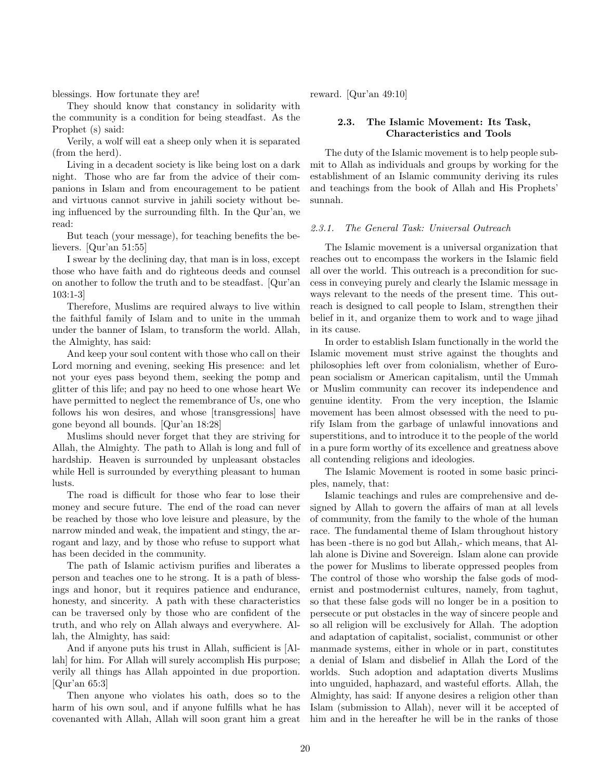blessings. How fortunate they are!

They should know that constancy in solidarity with the community is a condition for being steadfast. As the Prophet (s) said:

Verily, a wolf will eat a sheep only when it is separated (from the herd).

Living in a decadent society is like being lost on a dark night. Those who are far from the advice of their companions in Islam and from encouragement to be patient and virtuous cannot survive in jahili society without being influenced by the surrounding filth. In the Qur'an, we read:

But teach (your message), for teaching benefits the believers. [Qur'an 51:55]

I swear by the declining day, that man is in loss, except those who have faith and do righteous deeds and counsel on another to follow the truth and to be steadfast. [Qur'an 103:1-3]

Therefore, Muslims are required always to live within the faithful family of Islam and to unite in the ummah under the banner of Islam, to transform the world. Allah, the Almighty, has said:

And keep your soul content with those who call on their Lord morning and evening, seeking His presence: and let not your eyes pass beyond them, seeking the pomp and glitter of this life; and pay no heed to one whose heart We have permitted to neglect the remembrance of Us, one who follows his won desires, and whose [transgressions] have gone beyond all bounds. [Qur'an 18:28]

Muslims should never forget that they are striving for Allah, the Almighty. The path to Allah is long and full of hardship. Heaven is surrounded by unpleasant obstacles while Hell is surrounded by everything pleasant to human lusts.

The road is difficult for those who fear to lose their money and secure future. The end of the road can never be reached by those who love leisure and pleasure, by the narrow minded and weak, the impatient and stingy, the arrogant and lazy, and by those who refuse to support what has been decided in the community.

The path of Islamic activism purifies and liberates a person and teaches one to he strong. It is a path of blessings and honor, but it requires patience and endurance, honesty, and sincerity. A path with these characteristics can be traversed only by those who are confident of the truth, and who rely on Allah always and everywhere. Allah, the Almighty, has said:

And if anyone puts his trust in Allah, sufficient is [Allah] for him. For Allah will surely accomplish His purpose; verily all things has Allah appointed in due proportion. [Qur'an 65:3]

Then anyone who violates his oath, does so to the harm of his own soul, and if anyone fulfills what he has covenanted with Allah, Allah will soon grant him a great reward. [Qur'an 49:10]

## 2.3. The Islamic Movement: Its Task, Characteristics and Tools

The duty of the Islamic movement is to help people submit to Allah as individuals and groups by working for the establishment of an Islamic community deriving its rules and teachings from the book of Allah and His Prophets' sunnah.

### 2.3.1. The General Task: Universal Outreach

The Islamic movement is a universal organization that reaches out to encompass the workers in the Islamic field all over the world. This outreach is a precondition for success in conveying purely and clearly the Islamic message in ways relevant to the needs of the present time. This outreach is designed to call people to Islam, strengthen their belief in it, and organize them to work and to wage jihad in its cause.

In order to establish Islam functionally in the world the Islamic movement must strive against the thoughts and philosophies left over from colonialism, whether of European socialism or American capitalism, until the Ummah or Muslim community can recover its independence and genuine identity. From the very inception, the Islamic movement has been almost obsessed with the need to purify Islam from the garbage of unlawful innovations and superstitions, and to introduce it to the people of the world in a pure form worthy of its excellence and greatness above all contending religions and ideologies.

The Islamic Movement is rooted in some basic principles, namely, that:

Islamic teachings and rules are comprehensive and designed by Allah to govern the affairs of man at all levels of community, from the family to the whole of the human race. The fundamental theme of Islam throughout history has been -there is no god but Allah,- which means, that Allah alone is Divine and Sovereign. Islam alone can provide the power for Muslims to liberate oppressed peoples from The control of those who worship the false gods of modernist and postmodernist cultures, namely, from taghut, so that these false gods will no longer be in a position to persecute or put obstacles in the way of sincere people and so all religion will be exclusively for Allah. The adoption and adaptation of capitalist, socialist, communist or other manmade systems, either in whole or in part, constitutes a denial of Islam and disbelief in Allah the Lord of the worlds. Such adoption and adaptation diverts Muslims into unguided, haphazard, and wasteful efforts. Allah, the Almighty, has said: If anyone desires a religion other than Islam (submission to Allah), never will it be accepted of him and in the hereafter he will be in the ranks of those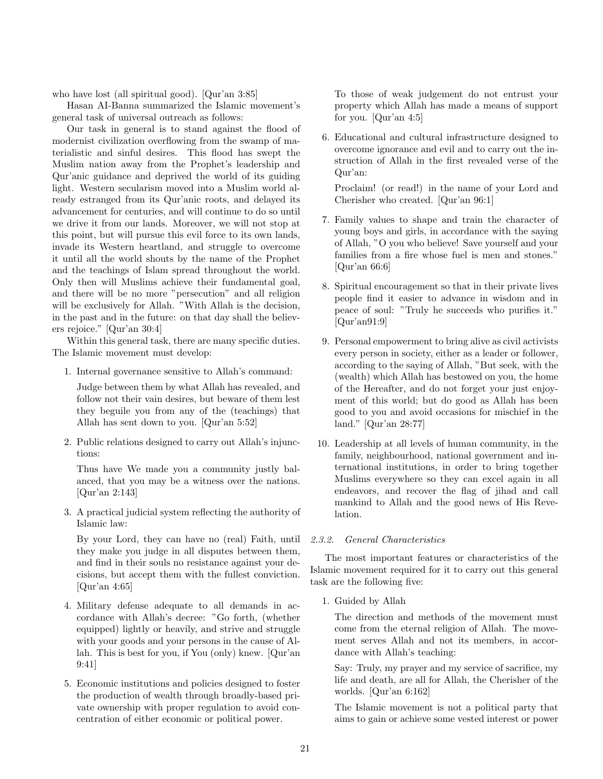who have lost (all spiritual good). [Qur'an 3:85]

Hasan AI-Banna summarized the Islamic movement's general task of universal outreach as follows:

Our task in general is to stand against the flood of modernist civilization overflowing from the swamp of materialistic and sinful desires. This flood has swept the Muslim nation away from the Prophet's leadership and Qur'anic guidance and deprived the world of its guiding light. Western secularism moved into a Muslim world already estranged from its Qur'anic roots, and delayed its advancement for centuries, and will continue to do so until we drive it from our lands. Moreover, we will not stop at this point, but will pursue this evil force to its own lands, invade its Western heartland, and struggle to overcome it until all the world shouts by the name of the Prophet and the teachings of Islam spread throughout the world. Only then will Muslims achieve their fundamental goal, and there will be no more "persecution" and all religion will be exclusively for Allah. "With Allah is the decision, in the past and in the future: on that day shall the believers rejoice." [Qur'an 30:4]

Within this general task, there are many specific duties. The Islamic movement must develop:

1. Internal governance sensitive to Allah's command:

Judge between them by what Allah has revealed, and follow not their vain desires, but beware of them lest they beguile you from any of the (teachings) that Allah has sent down to you. [Qur'an 5:52]

2. Public relations designed to carry out Allah's injunctions:

Thus have We made you a community justly balanced, that you may be a witness over the nations. [Qur'an 2:143]

3. A practical judicial system reflecting the authority of Islamic law:

By your Lord, they can have no (real) Faith, until they make you judge in all disputes between them, and find in their souls no resistance against your decisions, but accept them with the fullest conviction. [Qur'an 4:65]

- 4. Military defense adequate to all demands in accordance with Allah's decree: "Go forth, (whether equipped) lightly or heavily, and strive and struggle with your goods and your persons in the cause of Allah. This is best for you, if You (only) knew. [Qur'an 9:41]
- 5. Economic institutions and policies designed to foster the production of wealth through broadly-based private ownership with proper regulation to avoid concentration of either economic or political power.

To those of weak judgement do not entrust your property which Allah has made a means of support for you. [Qur'an 4:5]

6. Educational and cultural infrastructure designed to overcome ignorance and evil and to carry out the instruction of Allah in the first revealed verse of the Qur'an:

Proclaim! (or read!) in the name of your Lord and Cherisher who created. [Qur'an 96:1]

- 7. Family values to shape and train the character of young boys and girls, in accordance with the saying of Allah, "O you who believe! Save yourself and your families from a fire whose fuel is men and stones." [Qur'an 66:6]
- 8. Spiritual encouragement so that in their private lives people find it easier to advance in wisdom and in peace of soul: "Truly he succeeds who purifies it." [Qur'an91:9]
- 9. Personal empowerment to bring alive as civil activists every person in society, either as a leader or follower, according to the saying of Allah, "But seek, with the (wealth) which Allah has bestowed on you, the home of the Hereafter, and do not forget your just enjoyment of this world; but do good as Allah has been good to you and avoid occasions for mischief in the land." [Qur'an 28:77]
- 10. Leadership at all levels of human community, in the family, neighbourhood, national government and international institutions, in order to bring together Muslims everywhere so they can excel again in all endeavors, and recover the flag of jihad and call mankind to Allah and the good news of His Revelation.

## 2.3.2. General Characteristics

The most important features or characteristics of the Islamic movement required for it to carry out this general task are the following five:

1. Guided by Allah

The direction and methods of the movement must come from the eternal religion of Allah. The movement serves Allah and not its members, in accordance with Allah's teaching:

Say: Truly, my prayer and my service of sacrifice, my life and death, are all for Allah, the Cherisher of the worlds. [Qur'an 6:162]

The Islamic movement is not a political party that aims to gain or achieve some vested interest or power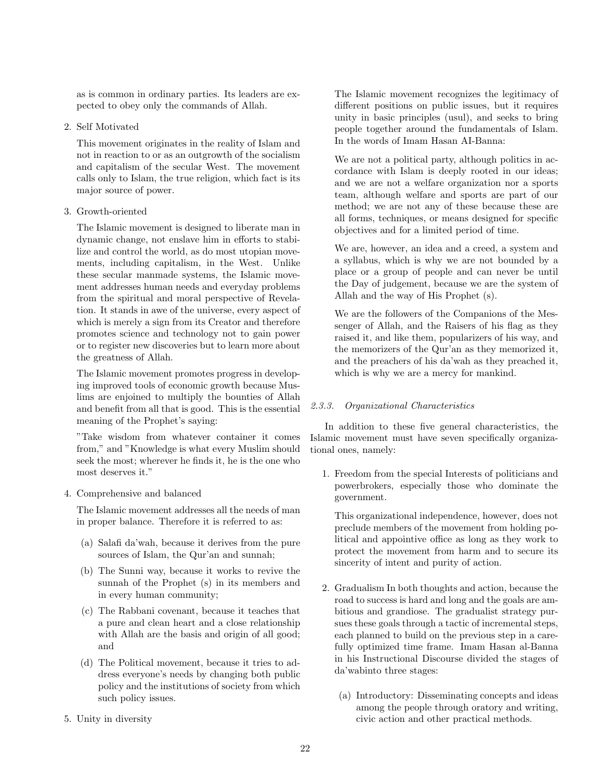as is common in ordinary parties. Its leaders are expected to obey only the commands of Allah.

2. Self Motivated

This movement originates in the reality of Islam and not in reaction to or as an outgrowth of the socialism and capitalism of the secular West. The movement calls only to Islam, the true religion, which fact is its major source of power.

3. Growth-oriented

The Islamic movement is designed to liberate man in dynamic change, not enslave him in efforts to stabilize and control the world, as do most utopian movements, including capitalism, in the West. Unlike these secular manmade systems, the Islamic movement addresses human needs and everyday problems from the spiritual and moral perspective of Revelation. It stands in awe of the universe, every aspect of which is merely a sign from its Creator and therefore promotes science and technology not to gain power or to register new discoveries but to learn more about the greatness of Allah.

The Islamic movement promotes progress in developing improved tools of economic growth because Muslims are enjoined to multiply the bounties of Allah and benefit from all that is good. This is the essential meaning of the Prophet's saying:

"Take wisdom from whatever container it comes from," and "Knowledge is what every Muslim should seek the most; wherever he finds it, he is the one who most deserves it."

4. Comprehensive and balanced

The Islamic movement addresses all the needs of man in proper balance. Therefore it is referred to as:

- (a) Salafi da'wah, because it derives from the pure sources of Islam, the Qur'an and sunnah;
- (b) The Sunni way, because it works to revive the sunnah of the Prophet (s) in its members and in every human community;
- (c) The Rabbani covenant, because it teaches that a pure and clean heart and a close relationship with Allah are the basis and origin of all good; and
- (d) The Political movement, because it tries to address everyone's needs by changing both public policy and the institutions of society from which such policy issues.

The Islamic movement recognizes the legitimacy of different positions on public issues, but it requires unity in basic principles (usul), and seeks to bring people together around the fundamentals of Islam. In the words of Imam Hasan AI-Banna:

We are not a political party, although politics in accordance with Islam is deeply rooted in our ideas; and we are not a welfare organization nor a sports team, although welfare and sports are part of our method; we are not any of these because these are all forms, techniques, or means designed for specific objectives and for a limited period of time.

We are, however, an idea and a creed, a system and a syllabus, which is why we are not bounded by a place or a group of people and can never be until the Day of judgement, because we are the system of Allah and the way of His Prophet (s).

We are the followers of the Companions of the Messenger of Allah, and the Raisers of his flag as they raised it, and like them, popularizers of his way, and the memorizers of the Qur'an as they memorized it, and the preachers of his da'wah as they preached it, which is why we are a mercy for mankind.

# 2.3.3. Organizational Characteristics

In addition to these five general characteristics, the Islamic movement must have seven specifically organizational ones, namely:

1. Freedom from the special Interests of politicians and powerbrokers, especially those who dominate the government.

This organizational independence, however, does not preclude members of the movement from holding political and appointive office as long as they work to protect the movement from harm and to secure its sincerity of intent and purity of action.

- 2. Gradualism In both thoughts and action, because the road to success is hard and long and the goals are ambitious and grandiose. The gradualist strategy pursues these goals through a tactic of incremental steps, each planned to build on the previous step in a carefully optimized time frame. Imam Hasan al-Banna in his Instructional Discourse divided the stages of da'wabinto three stages:
	- (a) Introductory: Disseminating concepts and ideas among the people through oratory and writing, civic action and other practical methods.

5. Unity in diversity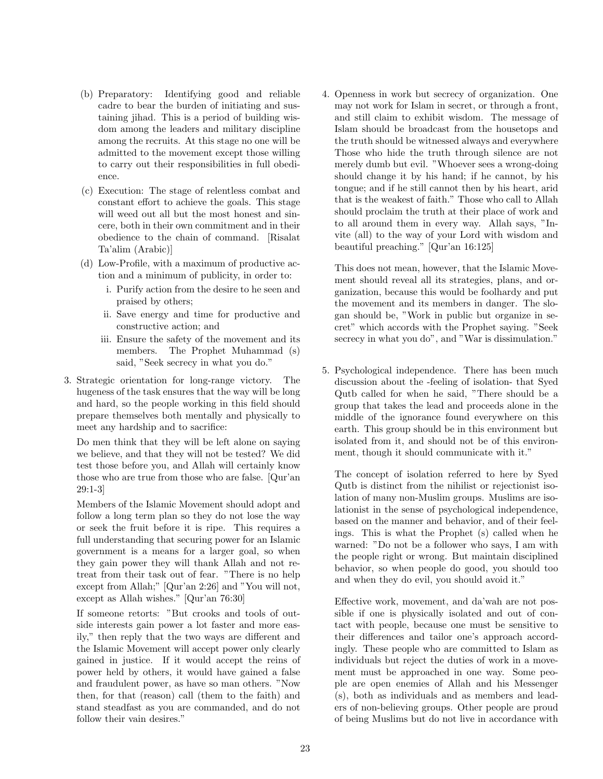- (b) Preparatory: Identifying good and reliable cadre to bear the burden of initiating and sustaining jihad. This is a period of building wisdom among the leaders and military discipline among the recruits. At this stage no one will be admitted to the movement except those willing to carry out their responsibilities in full obedience.
- (c) Execution: The stage of relentless combat and constant effort to achieve the goals. This stage will weed out all but the most honest and sincere, both in their own commitment and in their obedience to the chain of command. [Risalat Ta'alim (Arabic)]
- (d) Low-Profile, with a maximum of productive action and a minimum of publicity, in order to:
	- i. Purify action from the desire to he seen and praised by others;
	- ii. Save energy and time for productive and constructive action; and
	- iii. Ensure the safety of the movement and its members. The Prophet Muhammad (s) said, "Seek secrecy in what you do."
- 3. Strategic orientation for long-range victory. The hugeness of the task ensures that the way will be long and hard, so the people working in this field should prepare themselves both mentally and physically to meet any hardship and to sacrifice:

Do men think that they will be left alone on saying we believe, and that they will not be tested? We did test those before you, and Allah will certainly know those who are true from those who are false. [Qur'an 29:1-3]

Members of the Islamic Movement should adopt and follow a long term plan so they do not lose the way or seek the fruit before it is ripe. This requires a full understanding that securing power for an Islamic government is a means for a larger goal, so when they gain power they will thank Allah and not retreat from their task out of fear. "There is no help except from Allah;" [Qur'an 2:26] and "You will not, except as Allah wishes." [Qur'an 76:30]

If someone retorts: "But crooks and tools of outside interests gain power a lot faster and more easily," then reply that the two ways are different and the Islamic Movement will accept power only clearly gained in justice. If it would accept the reins of power held by others, it would have gained a false and fraudulent power, as have so man others. "Now then, for that (reason) call (them to the faith) and stand steadfast as you are commanded, and do not follow their vain desires."

4. Openness in work but secrecy of organization. One may not work for Islam in secret, or through a front, and still claim to exhibit wisdom. The message of Islam should be broadcast from the housetops and the truth should be witnessed always and everywhere Those who hide the truth through silence are not merely dumb but evil. "Whoever sees a wrong-doing should change it by his hand; if he cannot, by his tongue; and if he still cannot then by his heart, arid that is the weakest of faith." Those who call to Allah should proclaim the truth at their place of work and to all around them in every way. Allah says, "Invite (all) to the way of your Lord with wisdom and beautiful preaching." [Qur'an 16:125]

This does not mean, however, that the Islamic Movement should reveal all its strategies, plans, and organization, because this would be foolhardy and put the movement and its members in danger. The slogan should be, "Work in public but organize in secret" which accords with the Prophet saying. "Seek secrecy in what you do", and "War is dissimulation."

5. Psychological independence. There has been much discussion about the -feeling of isolation- that Syed Qutb called for when he said, "There should be a group that takes the lead and proceeds alone in the middle of the ignorance found everywhere on this earth. This group should be in this environment but isolated from it, and should not be of this environment, though it should communicate with it."

The concept of isolation referred to here by Syed Qutb is distinct from the nihilist or rejectionist isolation of many non-Muslim groups. Muslims are isolationist in the sense of psychological independence, based on the manner and behavior, and of their feelings. This is what the Prophet (s) called when he warned: "Do not be a follower who says, I am with the people right or wrong. But maintain disciplined behavior, so when people do good, you should too and when they do evil, you should avoid it."

Effective work, movement, and da'wah are not possible if one is physically isolated and out of contact with people, because one must be sensitive to their differences and tailor one's approach accordingly. These people who are committed to Islam as individuals but reject the duties of work in a movement must be approached in one way. Some people are open enemies of Allah and his Messenger (s), both as individuals and as members and leaders of non-believing groups. Other people are proud of being Muslims but do not live in accordance with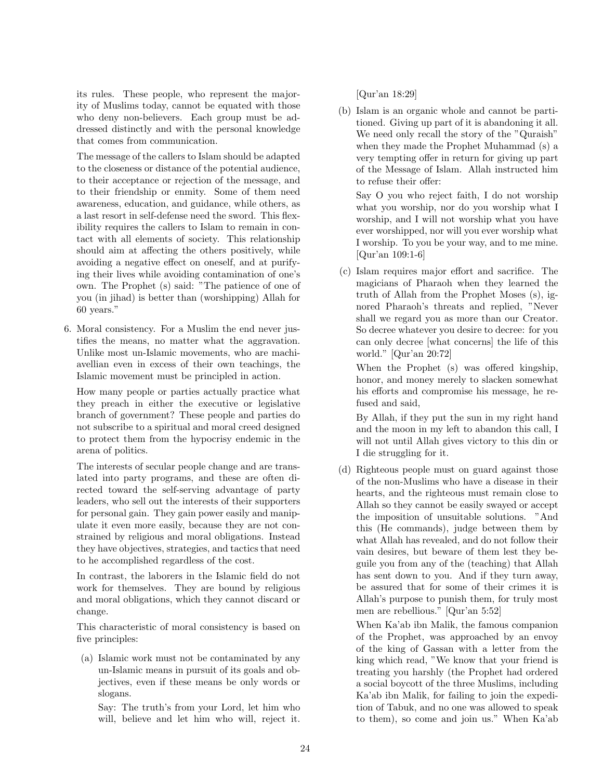its rules. These people, who represent the majority of Muslims today, cannot be equated with those who deny non-believers. Each group must be addressed distinctly and with the personal knowledge that comes from communication.

The message of the callers to Islam should be adapted to the closeness or distance of the potential audience, to their acceptance or rejection of the message, and to their friendship or enmity. Some of them need awareness, education, and guidance, while others, as a last resort in self-defense need the sword. This flexibility requires the callers to Islam to remain in contact with all elements of society. This relationship should aim at affecting the others positively, while avoiding a negative effect on oneself, and at purifying their lives while avoiding contamination of one's own. The Prophet (s) said: "The patience of one of you (in jihad) is better than (worshipping) Allah for 60 years."

6. Moral consistency. For a Muslim the end never justifies the means, no matter what the aggravation. Unlike most un-Islamic movements, who are machiavellian even in excess of their own teachings, the Islamic movement must be principled in action.

How many people or parties actually practice what they preach in either the executive or legislative branch of government? These people and parties do not subscribe to a spiritual and moral creed designed to protect them from the hypocrisy endemic in the arena of politics.

The interests of secular people change and are translated into party programs, and these are often directed toward the self-serving advantage of party leaders, who sell out the interests of their supporters for personal gain. They gain power easily and manipulate it even more easily, because they are not constrained by religious and moral obligations. Instead they have objectives, strategies, and tactics that need to he accomplished regardless of the cost.

In contrast, the laborers in the Islamic field do not work for themselves. They are bound by religious and moral obligations, which they cannot discard or change.

This characteristic of moral consistency is based on five principles:

(a) Islamic work must not be contaminated by any un-Islamic means in pursuit of its goals and objectives, even if these means be only words or slogans.

Say: The truth's from your Lord, let him who will, believe and let him who will, reject it.

[Qur'an 18:29]

(b) Islam is an organic whole and cannot be partitioned. Giving up part of it is abandoning it all. We need only recall the story of the "Quraish" when they made the Prophet Muhammad (s) a very tempting offer in return for giving up part of the Message of Islam. Allah instructed him to refuse their offer:

Say O you who reject faith, I do not worship what you worship, nor do you worship what I worship, and I will not worship what you have ever worshipped, nor will you ever worship what I worship. To you be your way, and to me mine. [Qur'an 109:1-6]

(c) Islam requires major effort and sacrifice. The magicians of Pharaoh when they learned the truth of Allah from the Prophet Moses (s), ignored Pharaoh's threats and replied, "Never shall we regard you as more than our Creator. So decree whatever you desire to decree: for you can only decree [what concerns] the life of this world." [Qur'an 20:72]

When the Prophet (s) was offered kingship, honor, and money merely to slacken somewhat his efforts and compromise his message, he refused and said,

By Allah, if they put the sun in my right hand and the moon in my left to abandon this call, I will not until Allah gives victory to this din or I die struggling for it.

(d) Righteous people must on guard against those of the non-Muslims who have a disease in their hearts, and the righteous must remain close to Allah so they cannot be easily swayed or accept the imposition of unsuitable solutions. "And this (He commands), judge between them by what Allah has revealed, and do not follow their vain desires, but beware of them lest they beguile you from any of the (teaching) that Allah has sent down to you. And if they turn away, be assured that for some of their crimes it is Allah's purpose to punish them, for truly most men are rebellious." [Qur'an 5:52]

When Ka'ab ibn Malik, the famous companion of the Prophet, was approached by an envoy of the king of Gassan with a letter from the king which read, "We know that your friend is treating you harshly (the Prophet had ordered a social boycott of the three Muslims, including Ka'ab ibn Malik, for failing to join the expedition of Tabuk, and no one was allowed to speak to them), so come and join us." When Ka'ab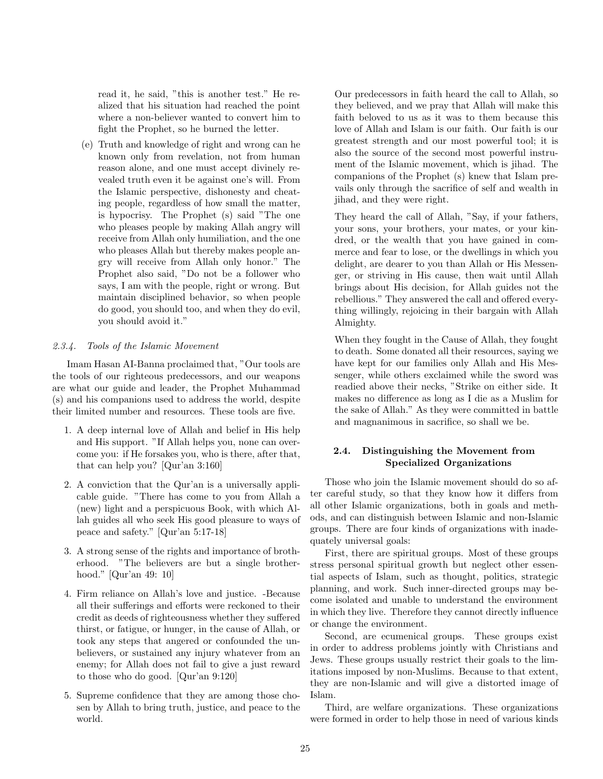read it, he said, "this is another test." He realized that his situation had reached the point where a non-believer wanted to convert him to fight the Prophet, so he burned the letter.

(e) Truth and knowledge of right and wrong can he known only from revelation, not from human reason alone, and one must accept divinely revealed truth even it be against one's will. From the Islamic perspective, dishonesty and cheating people, regardless of how small the matter, is hypocrisy. The Prophet (s) said "The one who pleases people by making Allah angry will receive from Allah only humiliation, and the one who pleases Allah but thereby makes people angry will receive from Allah only honor." The Prophet also said, "Do not be a follower who says, I am with the people, right or wrong. But maintain disciplined behavior, so when people do good, you should too, and when they do evil, you should avoid it."

## 2.3.4. Tools of the Islamic Movement

Imam Hasan AI-Banna proclaimed that, "Our tools are the tools of our righteous predecessors, and our weapons are what our guide and leader, the Prophet Muhammad (s) and his companions used to address the world, despite their limited number and resources. These tools are five.

- 1. A deep internal love of Allah and belief in His help and His support. "If Allah helps you, none can overcome you: if He forsakes you, who is there, after that, that can help you? [Qur'an 3:160]
- 2. A conviction that the Qur'an is a universally applicable guide. "There has come to you from Allah a (new) light and a perspicuous Book, with which Allah guides all who seek His good pleasure to ways of peace and safety." [Qur'an 5:17-18]
- 3. A strong sense of the rights and importance of brotherhood. "The believers are but a single brotherhood." [Qur'an 49: 10]
- 4. Firm reliance on Allah's love and justice. -Because all their sufferings and efforts were reckoned to their credit as deeds of righteousness whether they suffered thirst, or fatigue, or hunger, in the cause of Allah, or took any steps that angered or confounded the unbelievers, or sustained any injury whatever from an enemy; for Allah does not fail to give a just reward to those who do good. [Qur'an 9:120]
- 5. Supreme confidence that they are among those chosen by Allah to bring truth, justice, and peace to the world.

Our predecessors in faith heard the call to Allah, so they believed, and we pray that Allah will make this faith beloved to us as it was to them because this love of Allah and Islam is our faith. Our faith is our greatest strength and our most powerful tool; it is also the source of the second most powerful instrument of the Islamic movement, which is jihad. The companions of the Prophet (s) knew that Islam prevails only through the sacrifice of self and wealth in jihad, and they were right.

They heard the call of Allah, "Say, if your fathers, your sons, your brothers, your mates, or your kindred, or the wealth that you have gained in commerce and fear to lose, or the dwellings in which you delight, are dearer to you than Allah or His Messenger, or striving in His cause, then wait until Allah brings about His decision, for Allah guides not the rebellious." They answered the call and offered everything willingly, rejoicing in their bargain with Allah Almighty.

When they fought in the Cause of Allah, they fought to death. Some donated all their resources, saying we have kept for our families only Allah and His Messenger, while others exclaimed while the sword was readied above their necks, "Strike on either side. It makes no difference as long as I die as a Muslim for the sake of Allah." As they were committed in battle and magnanimous in sacrifice, so shall we be.

## 2.4. Distinguishing the Movement from Specialized Organizations

Those who join the Islamic movement should do so after careful study, so that they know how it differs from all other Islamic organizations, both in goals and methods, and can distinguish between Islamic and non-Islamic groups. There are four kinds of organizations with inadequately universal goals:

First, there are spiritual groups. Most of these groups stress personal spiritual growth but neglect other essential aspects of Islam, such as thought, politics, strategic planning, and work. Such inner-directed groups may become isolated and unable to understand the environment in which they live. Therefore they cannot directly influence or change the environment.

Second, are ecumenical groups. These groups exist in order to address problems jointly with Christians and Jews. These groups usually restrict their goals to the limitations imposed by non-Muslims. Because to that extent, they are non-Islamic and will give a distorted image of Islam.

Third, are welfare organizations. These organizations were formed in order to help those in need of various kinds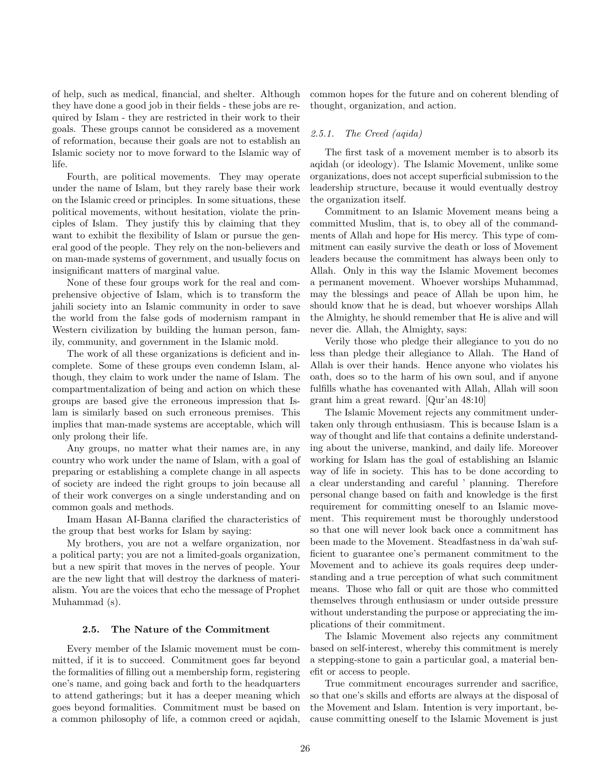of help, such as medical, financial, and shelter. Although they have done a good job in their fields - these jobs are required by Islam - they are restricted in their work to their goals. These groups cannot be considered as a movement of reformation, because their goals are not to establish an Islamic society nor to move forward to the Islamic way of life.

Fourth, are political movements. They may operate under the name of Islam, but they rarely base their work on the Islamic creed or principles. In some situations, these political movements, without hesitation, violate the principles of Islam. They justify this by claiming that they want to exhibit the flexibility of Islam or pursue the general good of the people. They rely on the non-believers and on man-made systems of government, and usually focus on insignificant matters of marginal value.

None of these four groups work for the real and comprehensive objective of Islam, which is to transform the jahili society into an Islamic community in order to save the world from the false gods of modernism rampant in Western civilization by building the human person, family, community, and government in the Islamic mold.

The work of all these organizations is deficient and incomplete. Some of these groups even condemn Islam, although, they claim to work under the name of Islam. The compartmentalization of being and action on which these groups are based give the erroneous impression that Islam is similarly based on such erroneous premises. This implies that man-made systems are acceptable, which will only prolong their life.

Any groups, no matter what their names are, in any country who work under the name of Islam, with a goal of preparing or establishing a complete change in all aspects of society are indeed the right groups to join because all of their work converges on a single understanding and on common goals and methods.

Imam Hasan AI-Banna clarified the characteristics of the group that best works for Islam by saying:

My brothers, you are not a welfare organization, nor a political party; you are not a limited-goals organization, but a new spirit that moves in the nerves of people. Your are the new light that will destroy the darkness of materialism. You are the voices that echo the message of Prophet Muhammad (s).

#### 2.5. The Nature of the Commitment

Every member of the Islamic movement must be committed, if it is to succeed. Commitment goes far beyond the formalities of filling out a membership form, registering one's name, and going back and forth to the headquarters to attend gatherings; but it has a deeper meaning which goes beyond formalities. Commitment must be based on a common philosophy of life, a common creed or aqidah, common hopes for the future and on coherent blending of thought, organization, and action.

# 2.5.1. The Creed (aqida)

The first task of a movement member is to absorb its aqidah (or ideology). The Islamic Movement, unlike some organizations, does not accept superficial submission to the leadership structure, because it would eventually destroy the organization itself.

Commitment to an Islamic Movement means being a committed Muslim, that is, to obey all of the commandments of Allah and hope for His mercy. This type of commitment can easily survive the death or loss of Movement leaders because the commitment has always been only to Allah. Only in this way the Islamic Movement becomes a permanent movement. Whoever worships Muhammad, may the blessings and peace of Allah be upon him, he should know that he is dead, but whoever worships Allah the Almighty, he should remember that He is alive and will never die. Allah, the Almighty, says:

Verily those who pledge their allegiance to you do no less than pledge their allegiance to Allah. The Hand of Allah is over their hands. Hence anyone who violates his oath, does so to the harm of his own soul, and if anyone fulfills whathe has covenanted with Allah, Allah will soon grant him a great reward. [Qur'an 48:10]

The Islamic Movement rejects any commitment undertaken only through enthusiasm. This is because Islam is a way of thought and life that contains a definite understanding about the universe, mankind, and daily life. Moreover working for Islam has the goal of establishing an Islamic way of life in society. This has to be done according to a clear understanding and careful ' planning. Therefore personal change based on faith and knowledge is the first requirement for committing oneself to an Islamic movement. This requirement must be thoroughly understood so that one will never look back once a commitment has been made to the Movement. Steadfastness in da'wah sufficient to guarantee one's permanent commitment to the Movement and to achieve its goals requires deep understanding and a true perception of what such commitment means. Those who fall or quit are those who committed themselves through enthusiasm or under outside pressure without understanding the purpose or appreciating the implications of their commitment.

The Islamic Movement also rejects any commitment based on self-interest, whereby this commitment is merely a stepping-stone to gain a particular goal, a material benefit or access to people.

True commitment encourages surrender and sacrifice, so that one's skills and efforts are always at the disposal of the Movement and Islam. Intention is very important, because committing oneself to the Islamic Movement is just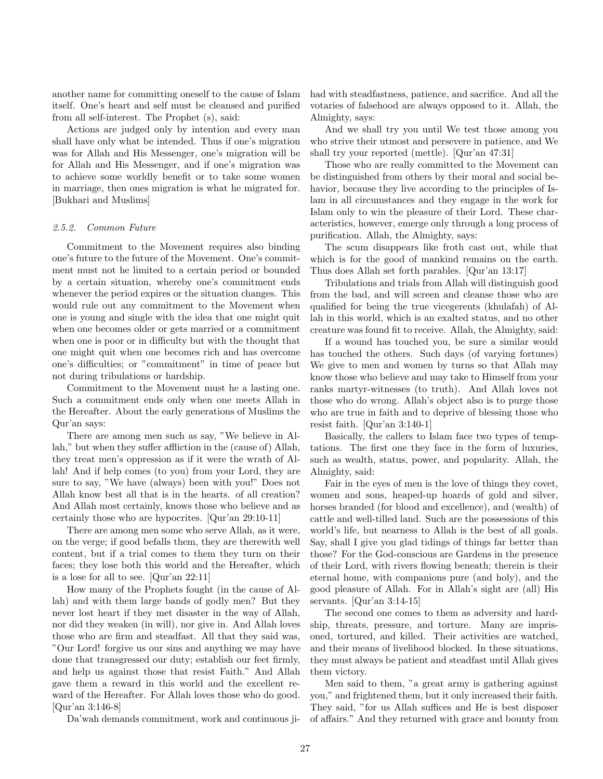another name for committing oneself to the cause of Islam itself. One's heart and self must be cleansed and purified from all self-interest. The Prophet (s), said:

Actions are judged only by intention and every man shall have only what be intended. Thus if one's migration was for Allah and His Messenger, one's migration will be for Allah and His Messenger, and if one's migration was to achieve some worldly benefit or to take some women in marriage, then ones migration is what he migrated for. [Bukhari and Muslims]

#### 2.5.2. Common Future

Commitment to the Movement requires also binding one's future to the future of the Movement. One's commitment must not he limited to a certain period or bounded by a certain situation, whereby one's commitment ends whenever the period expires or the situation changes. This would rule out any commitment to the Movement when one is young and single with the idea that one might quit when one becomes older or gets married or a commitment when one is poor or in difficulty but with the thought that one might quit when one becomes rich and has overcome one's difficulties; or "commitment" in time of peace but not during tribulations or hardship.

Commitment to the Movement must he a lasting one. Such a commitment ends only when one meets Allah in the Hereafter. About the early generations of Muslims the Qur'an says:

There are among men such as say, "We believe in Allah," but when they suffer affliction in the (cause of) Allah, they treat men's oppression as if it were the wrath of Allah! And if help comes (to you) from your Lord, they are sure to say, "We have (always) been with you!" Does not Allah know best all that is in the hearts. of all creation? And Allah most certainly, knows those who believe and as certainly those who are hypocrites. [Qur'an 29:10-11]

There are among men some who serve Allah, as it were, on the verge; if good befalls them, they are therewith well content, but if a trial comes to them they turn on their faces; they lose both this world and the Hereafter, which is a lose for all to see. [Qur'an 22:11]

How many of the Prophets fought (in the cause of Allah) and with them large bands of godly men? But they never lost heart if they met disaster in the way of Allah, nor did they weaken (in will), nor give in. And Allah loves those who are firm and steadfast. All that they said was, "Our Lord! forgive us our sins and anything we may have done that transgressed our duty; establish our feet firmly, and help us against those that resist Faith." And Allah gave them a reward in this world and the excellent reward of the Hereafter. For Allah loves those who do good. [Qur'an 3:146-8]

Da'wah demands commitment, work and continuous ji-

had with steadfastness, patience, and sacrifice. And all the votaries of falsehood are always opposed to it. Allah, the Almighty, says:

And we shall try you until We test those among you who strive their utmost and persevere in patience, and We shall try your reported (mettle). [Qur'an 47:31]

Those who are really committed to the Movement can be distinguished from others by their moral and social behavior, because they live according to the principles of Islam in all circumstances and they engage in the work for Islam only to win the pleasure of their Lord. These characteristics, however, emerge only through a long process of purification. Allah, the Almighty, says:

The scum disappears like froth cast out, while that which is for the good of mankind remains on the earth. Thus does Allah set forth parables. [Qur'an 13:17]

Tribulations and trials from Allah will distinguish good from the bad, and will screen and cleanse those who are qualified for being the true vicegerents (khulafah) of Allah in this world, which is an exalted status, and no other creature was found fit to receive. Allah, the Almighty, said:

If a wound has touched you, be sure a similar would has touched the others. Such days (of varying fortunes) We give to men and women by turns so that Allah may know those who believe and may take to Himself from your ranks martyr-witnesses (to truth). And Allah loves not those who do wrong. Allah's object also is to purge those who are true in faith and to deprive of blessing those who resist faith. [Qur'an 3:140-1]

Basically, the callers to Islam face two types of temptations. The first one they face in the form of luxuries, such as wealth, status, power, and popularity. Allah, the Almighty, said:

Fair in the eyes of men is the love of things they covet, women and sons, heaped-up hoards of gold and silver, horses branded (for blood and excellence), and (wealth) of cattle and well-tilled land. Such are the possessions of this world's life, but nearness to Allah is the best of all goals. Say, shall I give you glad tidings of things far better than those? For the God-conscious are Gardens in the presence of their Lord, with rivers flowing beneath; therein is their eternal home, with companions pure (and holy), and the good pleasure of Allah. For in Allah's sight are (all) His servants. [Qur'an 3:14-15]

The second one comes to them as adversity and hardship, threats, pressure, and torture. Many are imprisoned, tortured, and killed. Their activities are watched, and their means of livelihood blocked. In these situations, they must always be patient and steadfast until Allah gives them victory.

Men said to them, "a great army is gathering against you," and frightened them, but it only increased their faith. They said, "for us Allah suffices and He is best disposer of affairs." And they returned with grace and bounty from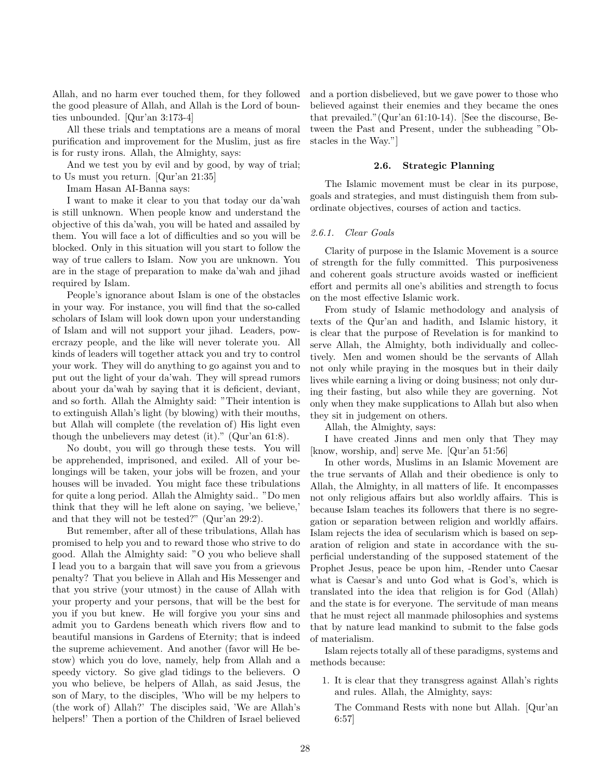Allah, and no harm ever touched them, for they followed the good pleasure of Allah, and Allah is the Lord of bounties unbounded. [Qur'an 3:173-4]

All these trials and temptations are a means of moral purification and improvement for the Muslim, just as fire is for rusty irons. Allah, the Almighty, says:

And we test you by evil and by good, by way of trial; to Us must you return. [Qur'an 21:35]

Imam Hasan AI-Banna says:

I want to make it clear to you that today our da'wah is still unknown. When people know and understand the objective of this da'wah, you will be hated and assailed by them. You will face a lot of difficulties and so you will be blocked. Only in this situation will you start to follow the way of true callers to Islam. Now you are unknown. You are in the stage of preparation to make da'wah and jihad required by Islam.

People's ignorance about Islam is one of the obstacles in your way. For instance, you will find that the so-called scholars of Islam will look down upon your understanding of Islam and will not support your jihad. Leaders, powercrazy people, and the like will never tolerate you. All kinds of leaders will together attack you and try to control your work. They will do anything to go against you and to put out the light of your da'wah. They will spread rumors about your da'wah by saying that it is deficient, deviant, and so forth. Allah the Almighty said: "Their intention is to extinguish Allah's light (by blowing) with their mouths, but Allah will complete (the revelation of) His light even though the unbelievers may detest (it)." (Qur'an 61:8).

No doubt, you will go through these tests. You will be apprehended, imprisoned, and exiled. All of your belongings will be taken, your jobs will be frozen, and your houses will be invaded. You might face these tribulations for quite a long period. Allah the Almighty said.. "Do men think that they will he left alone on saying, 'we believe,' and that they will not be tested?" (Qur'an 29:2).

But remember, after all of these tribulations, Allah has promised to help you and to reward those who strive to do good. Allah the Almighty said: "O you who believe shall I lead you to a bargain that will save you from a grievous penalty? That you believe in Allah and His Messenger and that you strive (your utmost) in the cause of Allah with your property and your persons, that will be the best for you if you but knew. He will forgive you your sins and admit you to Gardens beneath which rivers flow and to beautiful mansions in Gardens of Eternity; that is indeed the supreme achievement. And another (favor will He bestow) which you do love, namely, help from Allah and a speedy victory. So give glad tidings to the believers. O you who believe, be helpers of Allah, as said Jesus, the son of Mary, to the disciples, 'Who will be my helpers to (the work of) Allah?' The disciples said, 'We are Allah's helpers!' Then a portion of the Children of Israel believed

and a portion disbelieved, but we gave power to those who believed against their enemies and they became the ones that prevailed."(Qur'an 61:10-14). [See the discourse, Between the Past and Present, under the subheading "Obstacles in the Way."]

#### 2.6. Strategic Planning

The Islamic movement must be clear in its purpose, goals and strategies, and must distinguish them from subordinate objectives, courses of action and tactics.

#### 2.6.1. Clear Goals

Clarity of purpose in the Islamic Movement is a source of strength for the fully committed. This purposiveness and coherent goals structure avoids wasted or inefficient effort and permits all one's abilities and strength to focus on the most effective Islamic work.

From study of Islamic methodology and analysis of texts of the Qur'an and hadith, and Islamic history, it is clear that the purpose of Revelation is for mankind to serve Allah, the Almighty, both individually and collectively. Men and women should be the servants of Allah not only while praying in the mosques but in their daily lives while earning a living or doing business; not only during their fasting, but also while they are governing. Not only when they make supplications to Allah but also when they sit in judgement on others.

Allah, the Almighty, says:

I have created Jinns and men only that They may [know, worship, and] serve Me. [Qur'an 51:56]

In other words, Muslims in an Islamic Movement are the true servants of Allah and their obedience is only to Allah, the Almighty, in all matters of life. It encompasses not only religious affairs but also worldly affairs. This is because Islam teaches its followers that there is no segregation or separation between religion and worldly affairs. Islam rejects the idea of secularism which is based on separation of religion and state in accordance with the superficial understanding of the supposed statement of the Prophet Jesus, peace be upon him, -Render unto Caesar what is Caesar's and unto God what is God's, which is translated into the idea that religion is for God (Allah) and the state is for everyone. The servitude of man means that he must reject all manmade philosophies and systems that by nature lead mankind to submit to the false gods of materialism.

Islam rejects totally all of these paradigms, systems and methods because:

1. It is clear that they transgress against Allah's rights and rules. Allah, the Almighty, says:

The Command Rests with none but Allah. [Qur'an 6:57]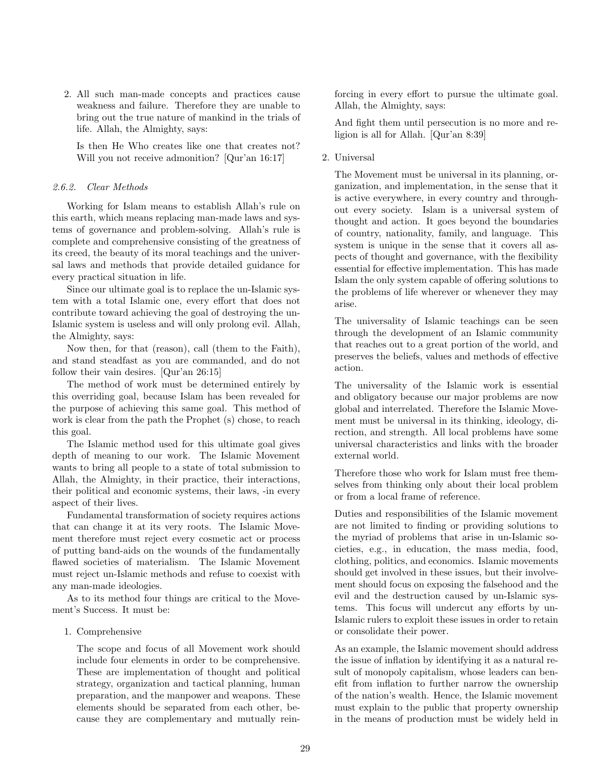2. All such man-made concepts and practices cause weakness and failure. Therefore they are unable to bring out the true nature of mankind in the trials of life. Allah, the Almighty, says:

Is then He Who creates like one that creates not? Will you not receive admonition? [Qur'an 16:17]

# 2.6.2. Clear Methods

Working for Islam means to establish Allah's rule on this earth, which means replacing man-made laws and systems of governance and problem-solving. Allah's rule is complete and comprehensive consisting of the greatness of its creed, the beauty of its moral teachings and the universal laws and methods that provide detailed guidance for every practical situation in life.

Since our ultimate goal is to replace the un-Islamic system with a total Islamic one, every effort that does not contribute toward achieving the goal of destroying the un-Islamic system is useless and will only prolong evil. Allah, the Almighty, says:

Now then, for that (reason), call (them to the Faith), and stand steadfast as you are commanded, and do not follow their vain desires. [Qur'an 26:15]

The method of work must be determined entirely by this overriding goal, because Islam has been revealed for the purpose of achieving this same goal. This method of work is clear from the path the Prophet (s) chose, to reach this goal.

The Islamic method used for this ultimate goal gives depth of meaning to our work. The Islamic Movement wants to bring all people to a state of total submission to Allah, the Almighty, in their practice, their interactions, their political and economic systems, their laws, -in every aspect of their lives.

Fundamental transformation of society requires actions that can change it at its very roots. The Islamic Movement therefore must reject every cosmetic act or process of putting band-aids on the wounds of the fundamentally flawed societies of materialism. The Islamic Movement must reject un-Islamic methods and refuse to coexist with any man-made ideologies.

As to its method four things are critical to the Movement's Success. It must be:

## 1. Comprehensive

The scope and focus of all Movement work should include four elements in order to be comprehensive. These are implementation of thought and political strategy, organization and tactical planning, human preparation, and the manpower and weapons. These elements should be separated from each other, because they are complementary and mutually reinforcing in every effort to pursue the ultimate goal. Allah, the Almighty, says:

And fight them until persecution is no more and religion is all for Allah. [Qur'an 8:39]

2. Universal

The Movement must be universal in its planning, organization, and implementation, in the sense that it is active everywhere, in every country and throughout every society. Islam is a universal system of thought and action. It goes beyond the boundaries of country, nationality, family, and language. This system is unique in the sense that it covers all aspects of thought and governance, with the flexibility essential for effective implementation. This has made Islam the only system capable of offering solutions to the problems of life wherever or whenever they may arise.

The universality of Islamic teachings can be seen through the development of an Islamic community that reaches out to a great portion of the world, and preserves the beliefs, values and methods of effective action.

The universality of the Islamic work is essential and obligatory because our major problems are now global and interrelated. Therefore the Islamic Movement must be universal in its thinking, ideology, direction, and strength. All local problems have some universal characteristics and links with the broader external world.

Therefore those who work for Islam must free themselves from thinking only about their local problem or from a local frame of reference.

Duties and responsibilities of the Islamic movement are not limited to finding or providing solutions to the myriad of problems that arise in un-Islamic societies, e.g., in education, the mass media, food, clothing, politics, and economics. Islamic movements should get involved in these issues, but their involvement should focus on exposing the falsehood and the evil and the destruction caused by un-Islamic systems. This focus will undercut any efforts by un-Islamic rulers to exploit these issues in order to retain or consolidate their power.

As an example, the Islamic movement should address the issue of inflation by identifying it as a natural result of monopoly capitalism, whose leaders can benefit from inflation to further narrow the ownership of the nation's wealth. Hence, the Islamic movement must explain to the public that property ownership in the means of production must be widely held in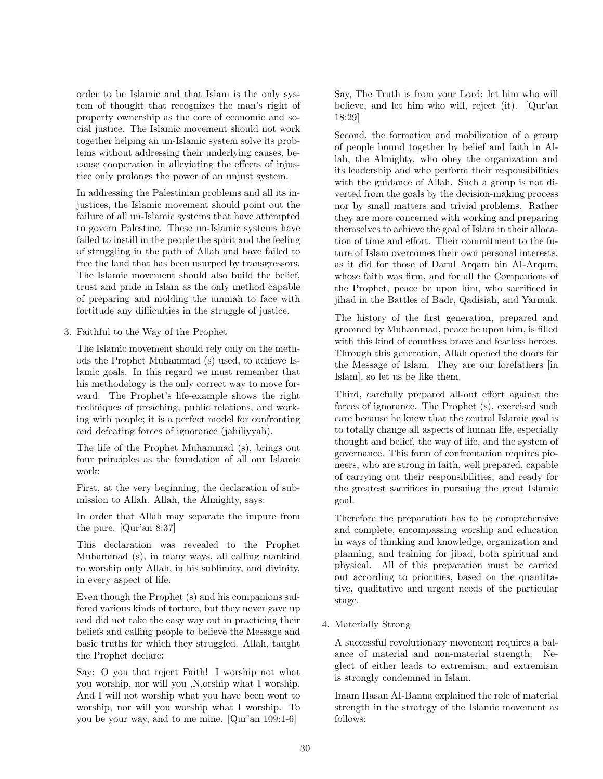order to be Islamic and that Islam is the only system of thought that recognizes the man's right of property ownership as the core of economic and social justice. The Islamic movement should not work together helping an un-Islamic system solve its problems without addressing their underlying causes, because cooperation in alleviating the effects of injustice only prolongs the power of an unjust system.

In addressing the Palestinian problems and all its injustices, the Islamic movement should point out the failure of all un-Islamic systems that have attempted to govern Palestine. These un-Islamic systems have failed to instill in the people the spirit and the feeling of struggling in the path of Allah and have failed to free the land that has been usurped by transgressors. The Islamic movement should also build the belief, trust and pride in Islam as the only method capable of preparing and molding the ummah to face with fortitude any difficulties in the struggle of justice.

3. Faithful to the Way of the Prophet

The Islamic movement should rely only on the methods the Prophet Muhammad (s) used, to achieve Islamic goals. In this regard we must remember that his methodology is the only correct way to move forward. The Prophet's life-example shows the right techniques of preaching, public relations, and working with people; it is a perfect model for confronting and defeating forces of ignorance (jahiliyyah).

The life of the Prophet Muhammad (s), brings out four principles as the foundation of all our Islamic work:

First, at the very beginning, the declaration of submission to Allah. Allah, the Almighty, says:

In order that Allah may separate the impure from the pure. [Qur'an 8:37]

This declaration was revealed to the Prophet Muhammad (s), in many ways, all calling mankind to worship only Allah, in his sublimity, and divinity, in every aspect of life.

Even though the Prophet (s) and his companions suffered various kinds of torture, but they never gave up and did not take the easy way out in practicing their beliefs and calling people to believe the Message and basic truths for which they struggled. Allah, taught the Prophet declare:

Say: O you that reject Faith! I worship not what you worship, nor will you ,N,orship what I worship. And I will not worship what you have been wont to worship, nor will you worship what I worship. To you be your way, and to me mine. [Qur'an 109:1-6]

Say, The Truth is from your Lord: let him who will believe, and let him who will, reject (it). [Qur'an 18:29]

Second, the formation and mobilization of a group of people bound together by belief and faith in Allah, the Almighty, who obey the organization and its leadership and who perform their responsibilities with the guidance of Allah. Such a group is not diverted from the goals by the decision-making process nor by small matters and trivial problems. Rather they are more concerned with working and preparing themselves to achieve the goal of Islam in their allocation of time and effort. Their commitment to the future of Islam overcomes their own personal interests, as it did for those of Darul Arqam bin AI-Arqam, whose faith was firm, and for all the Companions of the Prophet, peace be upon him, who sacrificed in jihad in the Battles of Badr, Qadisiah, and Yarmuk.

The history of the first generation, prepared and groomed by Muhammad, peace be upon him, is filled with this kind of countless brave and fearless heroes. Through this generation, Allah opened the doors for the Message of Islam. They are our forefathers [in Islam], so let us be like them.

Third, carefully prepared all-out effort against the forces of ignorance. The Prophet (s), exercised such care because he knew that the central Islamic goal is to totally change all aspects of human life, especially thought and belief, the way of life, and the system of governance. This form of confrontation requires pioneers, who are strong in faith, well prepared, capable of carrying out their responsibilities, and ready for the greatest sacrifices in pursuing the great Islamic goal.

Therefore the preparation has to be comprehensive and complete, encompassing worship and education in ways of thinking and knowledge, organization and planning, and training for jibad, both spiritual and physical. All of this preparation must be carried out according to priorities, based on the quantitative, qualitative and urgent needs of the particular stage.

4. Materially Strong

A successful revolutionary movement requires a balance of material and non-material strength. Neglect of either leads to extremism, and extremism is strongly condemned in Islam.

Imam Hasan AI-Banna explained the role of material strength in the strategy of the Islamic movement as follows: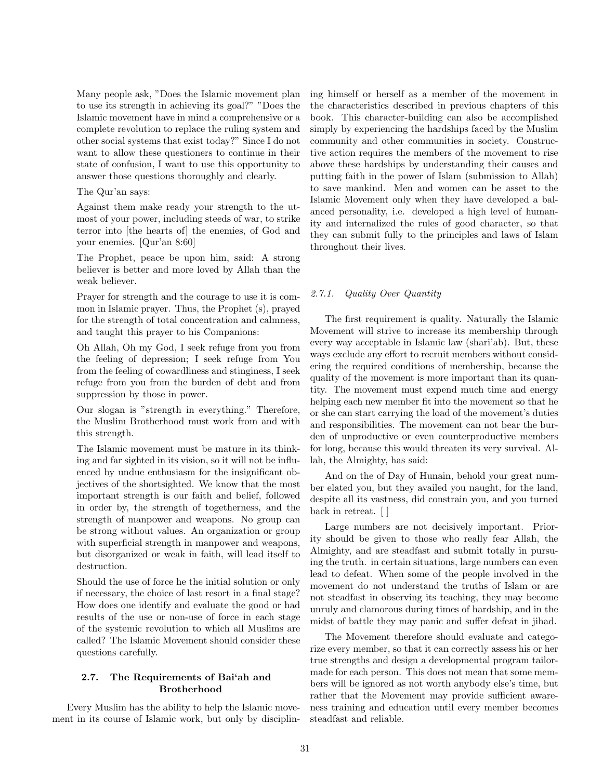Many people ask, "Does the Islamic movement plan to use its strength in achieving its goal?" "Does the Islamic movement have in mind a comprehensive or a complete revolution to replace the ruling system and other social systems that exist today?" Since I do not want to allow these questioners to continue in their state of confusion, I want to use this opportunity to answer those questions thoroughly and clearly.

#### The Qur'an says:

Against them make ready your strength to the utmost of your power, including steeds of war, to strike terror into [the hearts of] the enemies, of God and your enemies. [Qur'an 8:60]

The Prophet, peace be upon him, said: A strong believer is better and more loved by Allah than the weak believer.

Prayer for strength and the courage to use it is common in Islamic prayer. Thus, the Prophet (s), prayed for the strength of total concentration and calmness, and taught this prayer to his Companions:

Oh Allah, Oh my God, I seek refuge from you from the feeling of depression; I seek refuge from You from the feeling of cowardliness and stinginess, I seek refuge from you from the burden of debt and from suppression by those in power.

Our slogan is "strength in everything." Therefore, the Muslim Brotherhood must work from and with this strength.

The Islamic movement must be mature in its thinking and far sighted in its vision, so it will not be influenced by undue enthusiasm for the insignificant objectives of the shortsighted. We know that the most important strength is our faith and belief, followed in order by, the strength of togetherness, and the strength of manpower and weapons. No group can be strong without values. An organization or group with superficial strength in manpower and weapons, but disorganized or weak in faith, will lead itself to destruction.

Should the use of force he the initial solution or only if necessary, the choice of last resort in a final stage? How does one identify and evaluate the good or had results of the use or non-use of force in each stage of the systemic revolution to which all Muslims are called? The Islamic Movement should consider these questions carefully.

## 2.7. The Requirements of Bai'ah and Brotherhood

Every Muslim has the ability to help the Islamic movement in its course of Islamic work, but only by disciplining himself or herself as a member of the movement in the characteristics described in previous chapters of this book. This character-building can also be accomplished simply by experiencing the hardships faced by the Muslim community and other communities in society. Constructive action requires the members of the movement to rise above these hardships by understanding their causes and putting faith in the power of Islam (submission to Allah) to save mankind. Men and women can be asset to the Islamic Movement only when they have developed a balanced personality, i.e. developed a high level of humanity and internalized the rules of good character, so that they can submit fully to the principles and laws of Islam throughout their lives.

## 2.7.1. Quality Over Quantity

The first requirement is quality. Naturally the Islamic Movement will strive to increase its membership through every way acceptable in Islamic law (shari'ab). But, these ways exclude any effort to recruit members without considering the required conditions of membership, because the quality of the movement is more important than its quantity. The movement must expend much time and energy helping each new member fit into the movement so that he or she can start carrying the load of the movement's duties and responsibilities. The movement can not bear the burden of unproductive or even counterproductive members for long, because this would threaten its very survival. Allah, the Almighty, has said:

And on the of Day of Hunain, behold your great number elated you, but they availed you naught, for the land, despite all its vastness, did constrain you, and you turned back in retreat. [ ]

Large numbers are not decisively important. Priority should be given to those who really fear Allah, the Almighty, and are steadfast and submit totally in pursuing the truth. in certain situations, large numbers can even lead to defeat. When some of the people involved in the movement do not understand the truths of Islam or are not steadfast in observing its teaching, they may become unruly and clamorous during times of hardship, and in the midst of battle they may panic and suffer defeat in jihad.

The Movement therefore should evaluate and categorize every member, so that it can correctly assess his or her true strengths and design a developmental program tailormade for each person. This does not mean that some members will be ignored as not worth anybody else's time, but rather that the Movement may provide sufficient awareness training and education until every member becomes steadfast and reliable.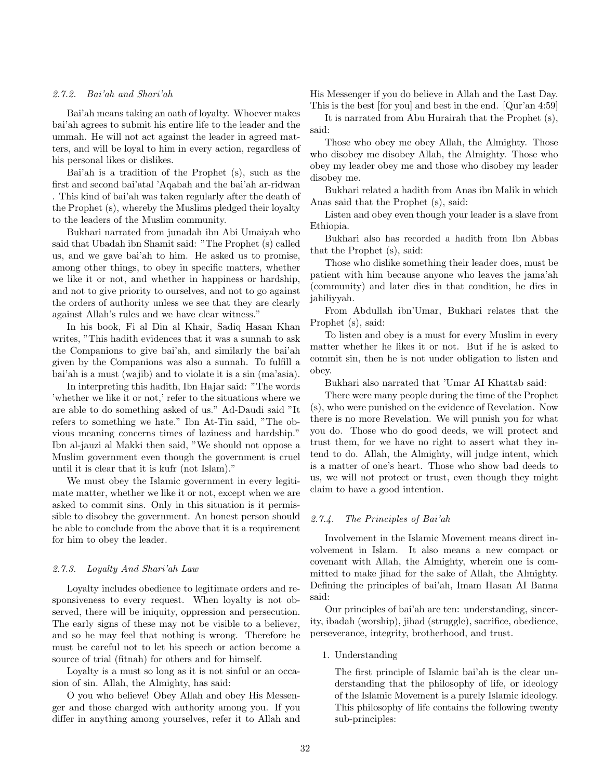#### 2.7.2. Bai'ah and Shari'ah

Bai'ah means taking an oath of loyalty. Whoever makes bai'ah agrees to submit his entire life to the leader and the ummah. He will not act against the leader in agreed matters, and will be loyal to him in every action, regardless of his personal likes or dislikes.

Bai'ah is a tradition of the Prophet (s), such as the first and second bai'atal 'Aqabah and the bai'ah ar-ridwan . This kind of bai'ah was taken regularly after the death of the Prophet (s), whereby the Muslims pledged their loyalty to the leaders of the Muslim community.

Bukhari narrated from junadah ibn Abi Umaiyah who said that Ubadah ibn Shamit said: "The Prophet (s) called us, and we gave bai'ah to him. He asked us to promise, among other things, to obey in specific matters, whether we like it or not, and whether in happiness or hardship, and not to give priority to ourselves, and not to go against the orders of authority unless we see that they are clearly against Allah's rules and we have clear witness."

In his book, Fi al Din al Khair, Sadiq Hasan Khan writes, "This hadith evidences that it was a sunnah to ask the Companions to give bai'ah, and similarly the bai'ah given by the Companions was also a sunnah. To fulfill a bai'ah is a must (wajib) and to violate it is a sin (ma'asia).

In interpreting this hadith, Ibn Hajar said: "The words 'whether we like it or not,' refer to the situations where we are able to do something asked of us." Ad-Daudi said "It refers to something we hate." Ibn At-Tin said, "The obvious meaning concerns times of laziness and hardship." Ibn al-jauzi al Makki then said, "We should not oppose a Muslim government even though the government is cruel until it is clear that it is kufr (not Islam)."

We must obey the Islamic government in every legitimate matter, whether we like it or not, except when we are asked to commit sins. Only in this situation is it permissible to disobey the government. An honest person should be able to conclude from the above that it is a requirement for him to obey the leader.

#### 2.7.3. Loyalty And Shari'ah Law

Loyalty includes obedience to legitimate orders and responsiveness to every request. When loyalty is not observed, there will be iniquity, oppression and persecution. The early signs of these may not be visible to a believer, and so he may feel that nothing is wrong. Therefore he must be careful not to let his speech or action become a source of trial (fitnah) for others and for himself.

Loyalty is a must so long as it is not sinful or an occasion of sin. Allah, the Almighty, has said:

O you who believe! Obey Allah and obey His Messenger and those charged with authority among you. If you differ in anything among yourselves, refer it to Allah and

His Messenger if you do believe in Allah and the Last Day. This is the best [for you] and best in the end. [Qur'an 4:59]

It is narrated from Abu Hurairah that the Prophet (s), said:

Those who obey me obey Allah, the Almighty. Those who disobey me disobey Allah, the Almighty. Those who obey my leader obey me and those who disobey my leader disobey me.

Bukhari related a hadith from Anas ibn Malik in which Anas said that the Prophet (s), said:

Listen and obey even though your leader is a slave from Ethiopia.

Bukhari also has recorded a hadith from Ibn Abbas that the Prophet (s), said:

Those who dislike something their leader does, must be patient with him because anyone who leaves the jama'ah (community) and later dies in that condition, he dies in jahiliyyah.

From Abdullah ibn'Umar, Bukhari relates that the Prophet (s), said:

To listen and obey is a must for every Muslim in every matter whether he likes it or not. But if he is asked to commit sin, then he is not under obligation to listen and obey.

Bukhari also narrated that 'Umar AI Khattab said:

There were many people during the time of the Prophet (s), who were punished on the evidence of Revelation. Now there is no more Revelation. We will punish you for what you do. Those who do good deeds, we will protect and trust them, for we have no right to assert what they intend to do. Allah, the Almighty, will judge intent, which is a matter of one's heart. Those who show bad deeds to us, we will not protect or trust, even though they might claim to have a good intention.

#### 2.7.4. The Principles of Bai'ah

Involvement in the Islamic Movement means direct involvement in Islam. It also means a new compact or covenant with Allah, the Almighty, wherein one is committed to make jihad for the sake of Allah, the Almighty. Defining the principles of bai'ah, Imam Hasan AI Banna said:

Our principles of bai'ah are ten: understanding, sincerity, ibadah (worship), jihad (struggle), sacrifice, obedience, perseverance, integrity, brotherhood, and trust.

1. Understanding

The first principle of Islamic bai'ah is the clear understanding that the philosophy of life, or ideology of the Islamic Movement is a purely Islamic ideology. This philosophy of life contains the following twenty sub-principles: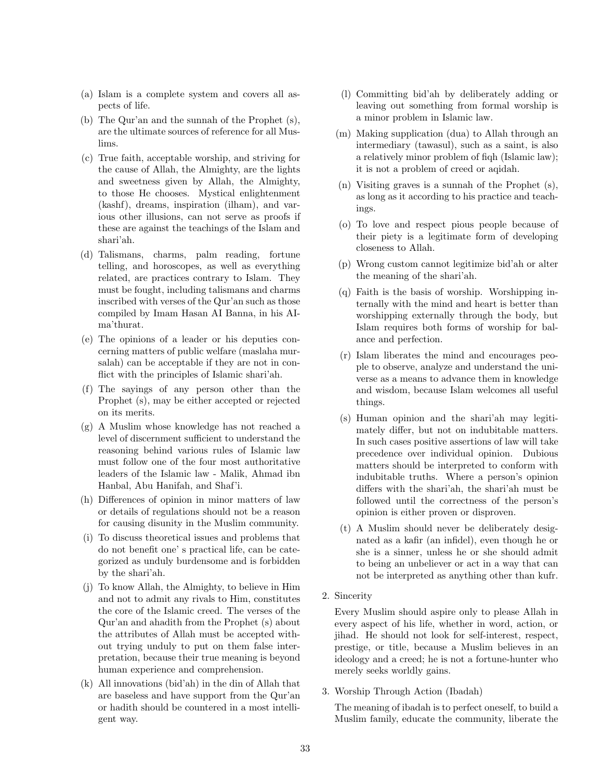- (a) Islam is a complete system and covers all aspects of life.
- (b) The Qur'an and the sunnah of the Prophet (s), are the ultimate sources of reference for all Muslims.
- (c) True faith, acceptable worship, and striving for the cause of Allah, the Almighty, are the lights and sweetness given by Allah, the Almighty, to those He chooses. Mystical enlightenment (kashf), dreams, inspiration (ilham), and various other illusions, can not serve as proofs if these are against the teachings of the Islam and shari'ah.
- (d) Talismans, charms, palm reading, fortune telling, and horoscopes, as well as everything related, are practices contrary to Islam. They must be fought, including talismans and charms inscribed with verses of the Qur'an such as those compiled by Imam Hasan AI Banna, in his AIma'thurat.
- (e) The opinions of a leader or his deputies concerning matters of public welfare (maslaha mursalah) can be acceptable if they are not in conflict with the principles of Islamic shari'ah.
- (f) The sayings of any person other than the Prophet (s), may be either accepted or rejected on its merits.
- (g) A Muslim whose knowledge has not reached a level of discernment sufficient to understand the reasoning behind various rules of Islamic law must follow one of the four most authoritative leaders of the Islamic law - Malik, Ahmad ibn Hanbal, Abu Hanifah, and Shaf'i.
- (h) Differences of opinion in minor matters of law or details of regulations should not be a reason for causing disunity in the Muslim community.
- (i) To discuss theoretical issues and problems that do not benefit one' s practical life, can be categorized as unduly burdensome and is forbidden by the shari'ah.
- (j) To know Allah, the Almighty, to believe in Him and not to admit any rivals to Him, constitutes the core of the Islamic creed. The verses of the Qur'an and ahadith from the Prophet (s) about the attributes of Allah must be accepted without trying unduly to put on them false interpretation, because their true meaning is beyond human experience and comprehension.
- (k) All innovations (bid'ah) in the din of Allah that are baseless and have support from the Qur'an or hadith should be countered in a most intelligent way.
- (l) Committing bid'ah by deliberately adding or leaving out something from formal worship is a minor problem in Islamic law.
- (m) Making supplication (dua) to Allah through an intermediary (tawasul), such as a saint, is also a relatively minor problem of fiqh (Islamic law); it is not a problem of creed or aqidah.
- (n) Visiting graves is a sunnah of the Prophet (s), as long as it according to his practice and teachings.
- (o) To love and respect pious people because of their piety is a legitimate form of developing closeness to Allah.
- (p) Wrong custom cannot legitimize bid'ah or alter the meaning of the shari'ah.
- (q) Faith is the basis of worship. Worshipping internally with the mind and heart is better than worshipping externally through the body, but Islam requires both forms of worship for balance and perfection.
- (r) Islam liberates the mind and encourages people to observe, analyze and understand the universe as a means to advance them in knowledge and wisdom, because Islam welcomes all useful things.
- (s) Human opinion and the shari'ah may legitimately differ, but not on indubitable matters. In such cases positive assertions of law will take precedence over individual opinion. Dubious matters should be interpreted to conform with indubitable truths. Where a person's opinion differs with the shari'ah, the shari'ah must be followed until the correctness of the person's opinion is either proven or disproven.
- (t) A Muslim should never be deliberately designated as a kafir (an infidel), even though he or she is a sinner, unless he or she should admit to being an unbeliever or act in a way that can not be interpreted as anything other than kufr.
- 2. Sincerity

Every Muslim should aspire only to please Allah in every aspect of his life, whether in word, action, or jihad. He should not look for self-interest, respect, prestige, or title, because a Muslim believes in an ideology and a creed; he is not a fortune-hunter who merely seeks worldly gains.

3. Worship Through Action (Ibadah)

The meaning of ibadah is to perfect oneself, to build a Muslim family, educate the community, liberate the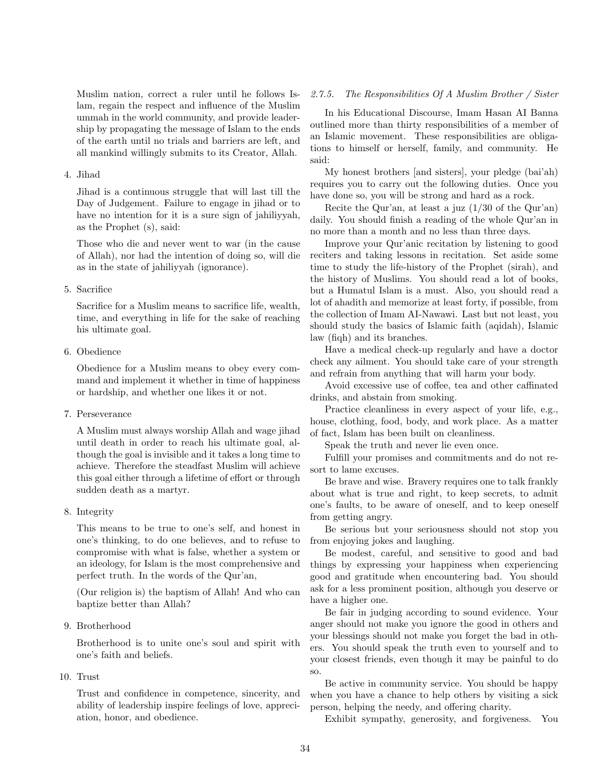Muslim nation, correct a ruler until he follows Islam, regain the respect and influence of the Muslim ummah in the world community, and provide leadership by propagating the message of Islam to the ends of the earth until no trials and barriers are left, and all mankind willingly submits to its Creator, Allah.

## 4. Jihad

Jihad is a continuous struggle that will last till the Day of Judgement. Failure to engage in jihad or to have no intention for it is a sure sign of jahiliyyah, as the Prophet (s), said:

Those who die and never went to war (in the cause of Allah), nor had the intention of doing so, will die as in the state of jahiliyyah (ignorance).

#### 5. Sacrifice

Sacrifice for a Muslim means to sacrifice life, wealth, time, and everything in life for the sake of reaching his ultimate goal.

## 6. Obedience

Obedience for a Muslim means to obey every command and implement it whether in time of happiness or hardship, and whether one likes it or not.

7. Perseverance

A Muslim must always worship Allah and wage jihad until death in order to reach his ultimate goal, although the goal is invisible and it takes a long time to achieve. Therefore the steadfast Muslim will achieve this goal either through a lifetime of effort or through sudden death as a martyr.

## 8. Integrity

This means to be true to one's self, and honest in one's thinking, to do one believes, and to refuse to compromise with what is false, whether a system or an ideology, for Islam is the most comprehensive and perfect truth. In the words of the Qur'an,

(Our religion is) the baptism of Allah! And who can baptize better than Allah?

## 9. Brotherhood

Brotherhood is to unite one's soul and spirit with one's faith and beliefs.

## 10. Trust

Trust and confidence in competence, sincerity, and ability of leadership inspire feelings of love, appreciation, honor, and obedience.

## 2.7.5. The Responsibilities Of A Muslim Brother / Sister

In his Educational Discourse, Imam Hasan AI Banna outlined more than thirty responsibilities of a member of an Islamic movement. These responsibilities are obligations to himself or herself, family, and community. He said:

My honest brothers [and sisters], your pledge (bai'ah) requires you to carry out the following duties. Once you have done so, you will be strong and hard as a rock.

Recite the Qur'an, at least a juz (1/30 of the Qur'an) daily. You should finish a reading of the whole Qur'an in no more than a month and no less than three days.

Improve your Qur'anic recitation by listening to good reciters and taking lessons in recitation. Set aside some time to study the life-history of the Prophet (sirah), and the history of Muslims. You should read a lot of books, but a Humatul Islam is a must. Also, you should read a lot of ahadith and memorize at least forty, if possible, from the collection of Imam AI-Nawawi. Last but not least, you should study the basics of Islamic faith (aqidah), Islamic law (fiqh) and its branches.

Have a medical check-up regularly and have a doctor check any ailment. You should take care of your strength and refrain from anything that will harm your body.

Avoid excessive use of coffee, tea and other caffinated drinks, and abstain from smoking.

Practice cleanliness in every aspect of your life, e.g., house, clothing, food, body, and work place. As a matter of fact, Islam has been built on cleanliness.

Speak the truth and never lie even once.

Fulfill your promises and commitments and do not resort to lame excuses.

Be brave and wise. Bravery requires one to talk frankly about what is true and right, to keep secrets, to admit one's faults, to be aware of oneself, and to keep oneself from getting angry.

Be serious but your seriousness should not stop you from enjoying jokes and laughing.

Be modest, careful, and sensitive to good and bad things by expressing your happiness when experiencing good and gratitude when encountering bad. You should ask for a less prominent position, although you deserve or have a higher one.

Be fair in judging according to sound evidence. Your anger should not make you ignore the good in others and your blessings should not make you forget the bad in others. You should speak the truth even to yourself and to your closest friends, even though it may be painful to do so.

Be active in community service. You should be happy when you have a chance to help others by visiting a sick person, helping the needy, and offering charity.

Exhibit sympathy, generosity, and forgiveness. You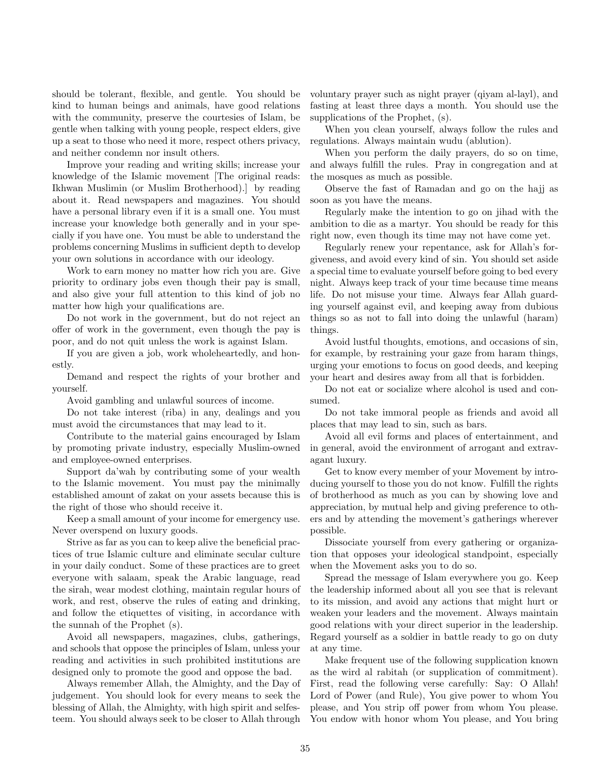should be tolerant, flexible, and gentle. You should be kind to human beings and animals, have good relations with the community, preserve the courtesies of Islam, be gentle when talking with young people, respect elders, give up a seat to those who need it more, respect others privacy, and neither condemn nor insult others.

Improve your reading and writing skills; increase your knowledge of the Islamic movement [The original reads: Ikhwan Muslimin (or Muslim Brotherhood).] by reading about it. Read newspapers and magazines. You should have a personal library even if it is a small one. You must increase your knowledge both generally and in your specially if you have one. You must be able to understand the problems concerning Muslims in sufficient depth to develop your own solutions in accordance with our ideology.

Work to earn money no matter how rich you are. Give priority to ordinary jobs even though their pay is small, and also give your full attention to this kind of job no matter how high your qualifications are.

Do not work in the government, but do not reject an offer of work in the government, even though the pay is poor, and do not quit unless the work is against Islam.

If you are given a job, work wholeheartedly, and honestly.

Demand and respect the rights of your brother and yourself.

Avoid gambling and unlawful sources of income.

Do not take interest (riba) in any, dealings and you must avoid the circumstances that may lead to it.

Contribute to the material gains encouraged by Islam by promoting private industry, especially Muslim-owned and employee-owned enterprises.

Support da'wah by contributing some of your wealth to the Islamic movement. You must pay the minimally established amount of zakat on your assets because this is the right of those who should receive it.

Keep a small amount of your income for emergency use. Never overspend on luxury goods.

Strive as far as you can to keep alive the beneficial practices of true Islamic culture and eliminate secular culture in your daily conduct. Some of these practices are to greet everyone with salaam, speak the Arabic language, read the sirah, wear modest clothing, maintain regular hours of work, and rest, observe the rules of eating and drinking, and follow the etiquettes of visiting, in accordance with the sunnah of the Prophet (s).

Avoid all newspapers, magazines, clubs, gatherings, and schools that oppose the principles of Islam, unless your reading and activities in such prohibited institutions are designed only to promote the good and oppose the bad.

Always remember Allah, the Almighty, and the Day of judgement. You should look for every means to seek the blessing of Allah, the Almighty, with high spirit and selfesteem. You should always seek to be closer to Allah through voluntary prayer such as night prayer (qiyam al-layl), and fasting at least three days a month. You should use the supplications of the Prophet, (s).

When you clean yourself, always follow the rules and regulations. Always maintain wudu (ablution).

When you perform the daily prayers, do so on time, and always fulfill the rules. Pray in congregation and at the mosques as much as possible.

Observe the fast of Ramadan and go on the hajj as soon as you have the means.

Regularly make the intention to go on jihad with the ambition to die as a martyr. You should be ready for this right now, even though its time may not have come yet.

Regularly renew your repentance, ask for Allah's forgiveness, and avoid every kind of sin. You should set aside a special time to evaluate yourself before going to bed every night. Always keep track of your time because time means life. Do not misuse your time. Always fear Allah guarding yourself against evil, and keeping away from dubious things so as not to fall into doing the unlawful (haram) things.

Avoid lustful thoughts, emotions, and occasions of sin, for example, by restraining your gaze from haram things, urging your emotions to focus on good deeds, and keeping your heart and desires away from all that is forbidden.

Do not eat or socialize where alcohol is used and consumed.

Do not take immoral people as friends and avoid all places that may lead to sin, such as bars.

Avoid all evil forms and places of entertainment, and in general, avoid the environment of arrogant and extravagant luxury.

Get to know every member of your Movement by introducing yourself to those you do not know. Fulfill the rights of brotherhood as much as you can by showing love and appreciation, by mutual help and giving preference to others and by attending the movement's gatherings wherever possible.

Dissociate yourself from every gathering or organization that opposes your ideological standpoint, especially when the Movement asks you to do so.

Spread the message of Islam everywhere you go. Keep the leadership informed about all you see that is relevant to its mission, and avoid any actions that might hurt or weaken your leaders and the movement. Always maintain good relations with your direct superior in the leadership. Regard yourself as a soldier in battle ready to go on duty at any time.

Make frequent use of the following supplication known as the wird al rabitah (or supplication of commitment). First, read the following verse carefully: Say: O Allah! Lord of Power (and Rule), You give power to whom You please, and You strip off power from whom You please. You endow with honor whom You please, and You bring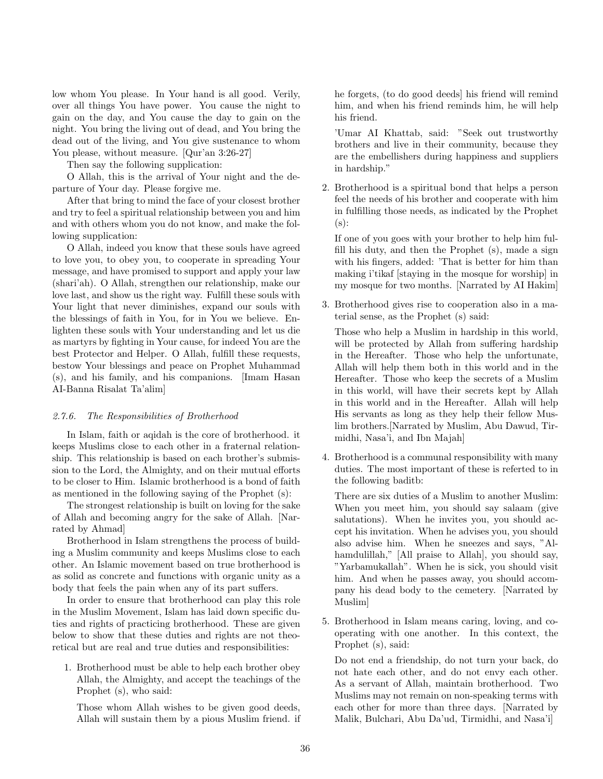low whom You please. In Your hand is all good. Verily, over all things You have power. You cause the night to gain on the day, and You cause the day to gain on the night. You bring the living out of dead, and You bring the dead out of the living, and You give sustenance to whom You please, without measure. [Qur'an 3:26-27]

Then say the following supplication:

O Allah, this is the arrival of Your night and the departure of Your day. Please forgive me.

After that bring to mind the face of your closest brother and try to feel a spiritual relationship between you and him and with others whom you do not know, and make the following supplication:

O Allah, indeed you know that these souls have agreed to love you, to obey you, to cooperate in spreading Your message, and have promised to support and apply your law (shari'ah). O Allah, strengthen our relationship, make our love last, and show us the right way. Fulfill these souls with Your light that never diminishes, expand our souls with the blessings of faith in You, for in You we believe. Enlighten these souls with Your understanding and let us die as martyrs by fighting in Your cause, for indeed You are the best Protector and Helper. O Allah, fulfill these requests, bestow Your blessings and peace on Prophet Muhammad (s), and his family, and his companions. [Imam Hasan AI-Banna Risalat Ta'alim]

## 2.7.6. The Responsibilities of Brotherhood

In Islam, faith or aqidah is the core of brotherhood. it keeps Muslims close to each other in a fraternal relationship. This relationship is based on each brother's submission to the Lord, the Almighty, and on their mutual efforts to be closer to Him. Islamic brotherhood is a bond of faith as mentioned in the following saying of the Prophet (s):

The strongest relationship is built on loving for the sake of Allah and becoming angry for the sake of Allah. [Narrated by Ahmad]

Brotherhood in Islam strengthens the process of building a Muslim community and keeps Muslims close to each other. An Islamic movement based on true brotherhood is as solid as concrete and functions with organic unity as a body that feels the pain when any of its part suffers.

In order to ensure that brotherhood can play this role in the Muslim Movement, Islam has laid down specific duties and rights of practicing brotherhood. These are given below to show that these duties and rights are not theoretical but are real and true duties and responsibilities:

1. Brotherhood must be able to help each brother obey Allah, the Almighty, and accept the teachings of the Prophet (s), who said:

Those whom Allah wishes to be given good deeds, Allah will sustain them by a pious Muslim friend. if he forgets, (to do good deeds] his friend will remind him, and when his friend reminds him, he will help his friend.

'Umar AI Khattab, said: "Seek out trustworthy brothers and live in their community, because they are the embellishers during happiness and suppliers in hardship."

2. Brotherhood is a spiritual bond that helps a person feel the needs of his brother and cooperate with him in fulfilling those needs, as indicated by the Prophet  $(s)$ :

If one of you goes with your brother to help him fulfill his duty, and then the Prophet (s), made a sign with his fingers, added: 'That is better for him than making i'tikaf [staying in the mosque for worship] in my mosque for two months. [Narrated by AI Hakim]

3. Brotherhood gives rise to cooperation also in a material sense, as the Prophet (s) said:

Those who help a Muslim in hardship in this world, will be protected by Allah from suffering hardship in the Hereafter. Those who help the unfortunate, Allah will help them both in this world and in the Hereafter. Those who keep the secrets of a Muslim in this world, will have their secrets kept by Allah in this world and in the Hereafter. Allah will help His servants as long as they help their fellow Muslim brothers.[Narrated by Muslim, Abu Dawud, Tirmidhi, Nasa'i, and Ibn Majah]

4. Brotherhood is a communal responsibility with many duties. The most important of these is referted to in the following baditb:

There are six duties of a Muslim to another Muslim: When you meet him, you should say salaam (give salutations). When he invites you, you should accept his invitation. When he advises you, you should also advise him. When he sneezes and says, "Alhamdulillah," [All praise to Allah], you should say, "Yarbamukallah". When he is sick, you should visit him. And when he passes away, you should accompany his dead body to the cemetery. [Narrated by Muslim]

5. Brotherhood in Islam means caring, loving, and cooperating with one another. In this context, the Prophet (s), said:

Do not end a friendship, do not turn your back, do not hate each other, and do not envy each other. As a servant of Allah, maintain brotherhood. Two Muslims may not remain on non-speaking terms with each other for more than three days. [Narrated by Malik, Bulchari, Abu Da'ud, Tirmidhi, and Nasa'i]